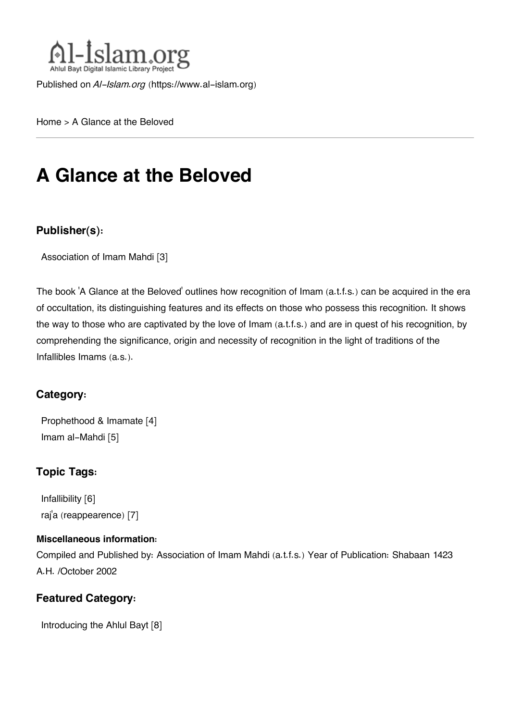

Published on *Al-Islam.org* ([https://www.al-islam.org\)](https://www.al-islam.org)

[Home](https://www.al-islam.org/) > A Glance at the Beloved

# **A Glance at the Beloved**

#### **Publisher(s):**

[Association of Imam Mahdi](https://www.al-islam.org/organization/association-imam-mahdi) [3]

The book 'A Glance at the Beloved' outlines how recognition of Imam (a.t.f.s.) can be acquired in the era of occultation, its distinguishing features and its effects on those who possess this recognition. It shows the way to those who are captivated by the love of Imam (a.t.f.s.) and are in quest of his recognition, by comprehending the significance, origin and necessity of recognition in the light of traditions of the Infallibles Imams (a.s.).

#### **Category:**

[Prophethood & Imamate](https://www.al-islam.org/library/prophethood-imamate) [4] [Imam al-Mahdi](https://www.al-islam.org/library/imam-al-mahdi) [5]

#### **Topic Tags:**

[Infallibility](https://www.al-islam.org/tags/infallibility) [6] raj['a \(reappearence\)](https://www.al-islam.org/tags/raja-reappearence) [7]

#### **Miscellaneous information:**

Compiled and Published by: Association of Imam Mahdi (a.t.f.s.) Year of Publication: Shabaan 1423 A.H. /October 2002

#### **Featured Category:**

[Introducing the Ahlul Bayt](https://www.al-islam.org/feature/introducing-ahlul-bayt) [8]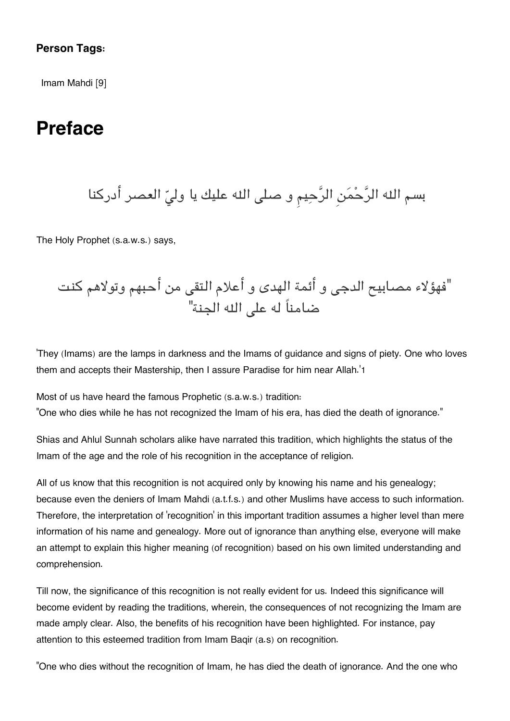#### **Person Tags:**

[Imam Mahdi](https://www.al-islam.org/person/imam-mahdi) [9]

### **Preface**

بسم الله الرَّحْمَنِ الرَّحِيمِ و صلى الله عليك يا وليّ العصر أدركنا

The Holy Prophet (s.a.w.s.) says,

"فهؤلاء مصابيح الدج و أئمة الهدى و أعلام التق من أحبهم وتولاهم كنت ضامناً له عل اله الجنة"

'They (Imams) are the lamps in darkness and the Imams of guidance and signs of piety. One who loves them and accepts their Mastership, then I assure Paradise for him near Allah.'[1](#page--1-0)

Most of us have heard the famous Prophetic (s.a.w.s.) tradition:

"One who dies while he has not recognized the Imam of his era, has died the death of ignorance."

Shias and Ahlul Sunnah scholars alike have narrated this tradition, which highlights the status of the Imam of the age and the role of his recognition in the acceptance of religion.

All of us know that this recognition is not acquired only by knowing his name and his genealogy; because even the deniers of Imam Mahdi (a.t.f.s.) and other Muslims have access to such information. Therefore, the interpretation of 'recognition' in this important tradition assumes a higher level than mere information of his name and genealogy. More out of ignorance than anything else, everyone will make an attempt to explain this higher meaning (of recognition) based on his own limited understanding and comprehension.

Till now, the significance of this recognition is not really evident for us. Indeed this significance will become evident by reading the traditions, wherein, the consequences of not recognizing the Imam are made amply clear. Also, the benefits of his recognition have been highlighted. For instance, pay attention to this esteemed tradition from Imam Baqir (a.s) on recognition.

"One who dies without the recognition of Imam, he has died the death of ignorance. And the one who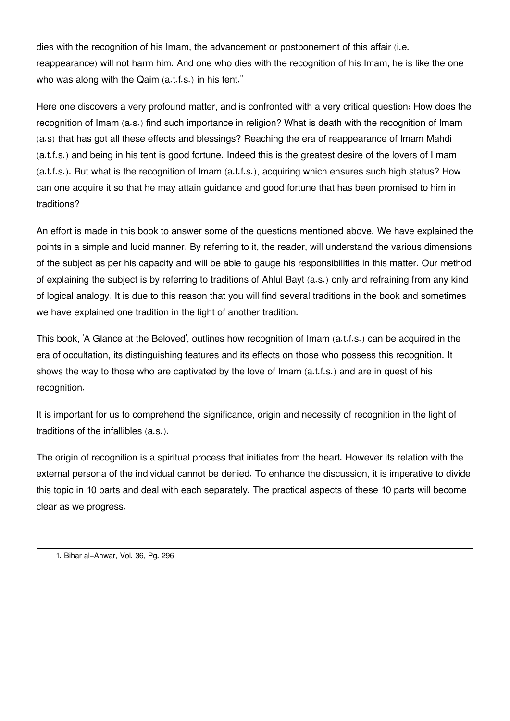dies with the recognition of his Imam, the advancement or postponement of this affair (i.e. reappearance) will not harm him. And one who dies with the recognition of his Imam, he is like the one who was along with the Qaim (a.t.f.s.) in his tent."

Here one discovers a very profound matter, and is confronted with a very critical question: How does the recognition of Imam (a.s.) find such importance in religion? What is death with the recognition of Imam (a.s) that has got all these effects and blessings? Reaching the era of reappearance of Imam Mahdi (a.t.f.s.) and being in his tent is good fortune. Indeed this is the greatest desire of the lovers of I mam (a.t.f.s.). But what is the recognition of Imam (a.t.f.s.), acquiring which ensures such high status? How can one acquire it so that he may attain guidance and good fortune that has been promised to him in traditions?

An effort is made in this book to answer some of the questions mentioned above. We have explained the points in a simple and lucid manner. By referring to it, the reader, will understand the various dimensions of the subject as per his capacity and will be able to gauge his responsibilities in this matter. Our method of explaining the subject is by referring to traditions of Ahlul Bayt (a.s.) only and refraining from any kind of logical analogy. It is due to this reason that you will find several traditions in the book and sometimes we have explained one tradition in the light of another tradition.

This book, 'A Glance at the Beloved', outlines how recognition of Imam (a.t.f.s.) can be acquired in the era of occultation, its distinguishing features and its effects on those who possess this recognition. It shows the way to those who are captivated by the love of Imam (a.t.f.s.) and are in quest of his recognition.

It is important for us to comprehend the significance, origin and necessity of recognition in the light of traditions of the infallibles (a.s.).

The origin of recognition is a spiritual process that initiates from the heart. However its relation with the external persona of the individual cannot be denied. To enhance the discussion, it is imperative to divide this topic in 10 parts and deal with each separately. The practical aspects of these 10 parts will become clear as we progress.

[<sup>1.</sup>](#page--1-0) Bihar al-Anwar, Vol. 36, Pg. 296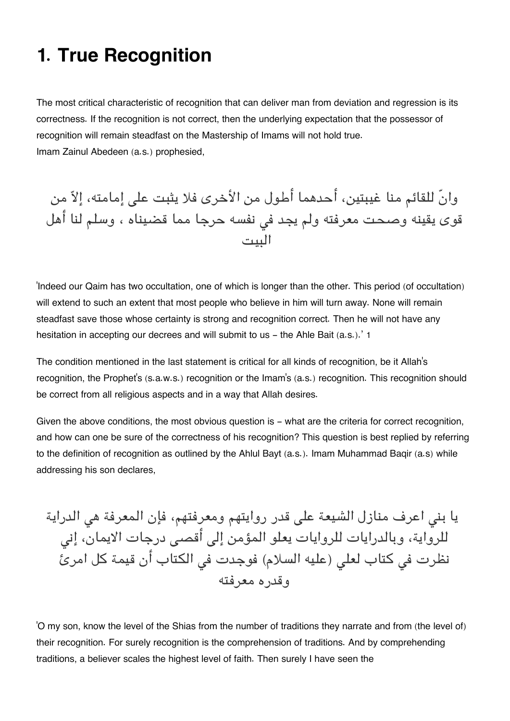## **1. True Recognition**

The most critical characteristic of recognition that can deliver man from deviation and regression is its correctness. If the recognition is not correct, then the underlying expectation that the possessor of recognition will remain steadfast on the Mastership of Imams will not hold true. Imam Zainul Abedeen (a.s.) prophesied,

وانّ للقائم منا غيبتين، أحدهما أطول من الأخرى فلا يثبت عل إمامته، إلا من قوى يقينه وصحت معرفته ولم يجد فى نفسه حرجا مما قضيناه ، وسلم لنا أهل البيت

'Indeed our Qaim has two occultation, one of which is longer than the other. This period (of occultation) will extend to such an extent that most people who believe in him will turn away. None will remain steadfast save those whose certainty is strong and recognition correct. Then he will not have any hesitation in accepting our decrees and will submit to us - the Ahle Bait (a.s.).' [1](#page--1-0)

The condition mentioned in the last statement is critical for all kinds of recognition, be it Allah's recognition, the Prophet's (s.a.w.s.) recognition or the Imam's (a.s.) recognition. This recognition should be correct from all religious aspects and in a way that Allah desires.

Given the above conditions, the most obvious question is - what are the criteria for correct recognition, and how can one be sure of the correctness of his recognition? This question is best replied by referring to the definition of recognition as outlined by the Ahlul Bayt (a.s.). Imam Muhammad Baqir (a.s) while addressing his son declares,

يا بني اعرف منازل الشيعة على قدر روايتهم ومعرفتهم، فإن المعرفة هي الدراية للرواية، وبالدرايات للروايات يعلو المؤمن إلى أقصى درجات الايمان، إني نظرت في كتاب لعلى (عليه السلام) فوجدت في الكتاب أن قيمة كل امرئ وقدره معرفته

'O my son, know the level of the Shias from the number of traditions they narrate and from (the level of) their recognition. For surely recognition is the comprehension of traditions. And by comprehending traditions, a believer scales the highest level of faith. Then surely I have seen the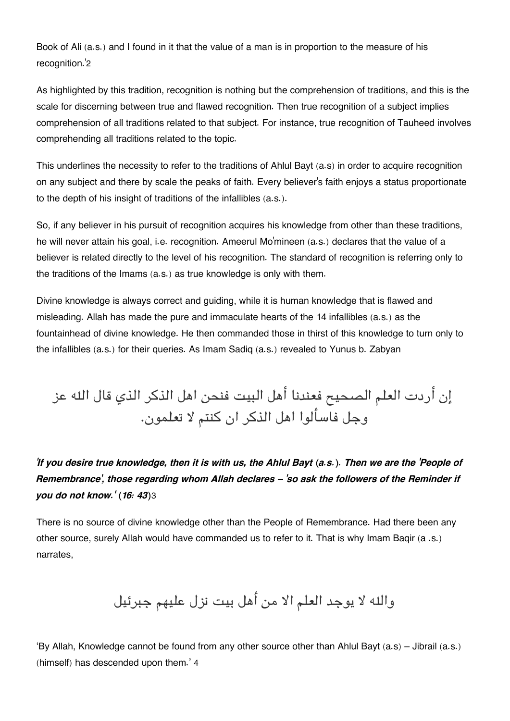Book of Ali (a.s.) and I found in it that the value of a man is in proportion to the measure of his recognition.'[2](#page--1-0)

As highlighted by this tradition, recognition is nothing but the comprehension of traditions, and this is the scale for discerning between true and flawed recognition. Then true recognition of a subject implies comprehension of all traditions related to that subject. For instance, true recognition of Tauheed involves comprehending all traditions related to the topic.

This underlines the necessity to refer to the traditions of Ahlul Bayt (a.s) in order to acquire recognition on any subject and there by scale the peaks of faith. Every believer's faith enjoys a status proportionate to the depth of his insight of traditions of the infallibles (a.s.).

So, if any believer in his pursuit of recognition acquires his knowledge from other than these traditions, he will never attain his goal, i.e. recognition. Ameerul Mo'mineen (a.s.) declares that the value of a believer is related directly to the level of his recognition. The standard of recognition is referring only to the traditions of the Imams (a.s.) as true knowledge is only with them.

Divine knowledge is always correct and guiding, while it is human knowledge that is flawed and misleading. Allah has made the pure and immaculate hearts of the 14 infallibles (a.s.) as the fountainhead of divine knowledge. He then commanded those in thirst of this knowledge to turn only to the infallibles (a.s.) for their queries. As Imam Sadiq (a.s.) revealed to Yunus b. Zabyan

# إن أردت العلم الصحيح فعندنا أهل البيت فنحن اهل الذكر الذي قال اله عز وجل فاسألوا اهل الذكر ان كنتم لا تعلمون.

*'If you desire true knowledge, then it is with us, the Ahlul Bayt (a.s.). Then we are the 'People of Remembrance', those regarding whom Allah declares – 'so ask the followers of the Reminder if you do not know.' (16: 43)*[3](#page--1-0)

There is no source of divine knowledge other than the People of Remembrance. Had there been any other source, surely Allah would have commanded us to refer to it. That is why Imam Baqir (a .s.) narrates,

واله لا يوجد العلم الا من أهل بيت نزل عليهم جبرئيل

'By Allah, Knowledge cannot be found from any other source other than Ahlul Bayt (a.s) – Jibrail (a.s.) (himself) has descended upon them.' [4](#page--1-0)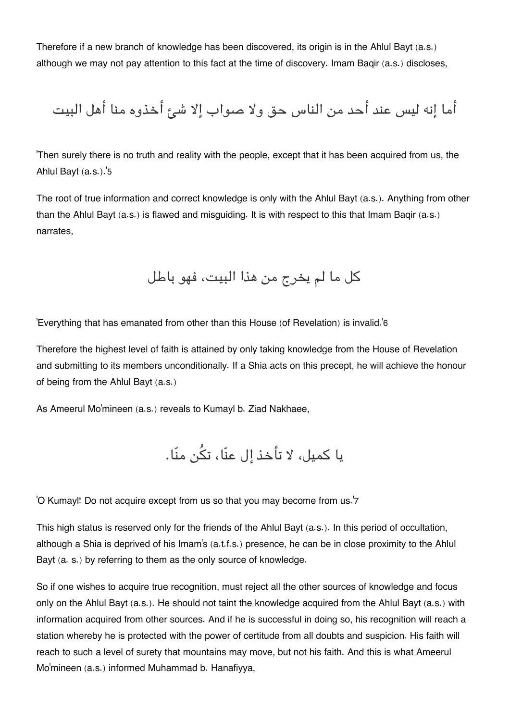Therefore if a new branch of knowledge has been discovered, its origin is in the Ahlul Bayt (a.s.) although we may not pay attention to this fact at the time of discovery. Imam Baqir (a.s.) discloses,

أما إنه ليس عند أحد من الناس حق ولا صواب إلا شئ أخذوه منا أهل البيت

'Then surely there is no truth and reality with the people, except that it has been acquired from us, the Ahlul Bayt (a.s.).'[5](#page--1-0)

The root of true information and correct knowledge is only with the Ahlul Bayt (a.s.). Anything from other than the Ahlul Bayt (a.s.) is flawed and misguiding. It is with respect to this that Imam Baqir (a.s.) narrates,

كل ما لم يخرج من هذا البيت، فهو باطل

'Everything that has emanated from other than this House (of Revelation) is invalid.'[6](#page--1-0)

Therefore the highest level of faith is attained by only taking knowledge from the House of Revelation and submitting to its members unconditionally. If a Shia acts on this precept, he will achieve the honour of being from the Ahlul Bayt (a.s.)

As Ameerul Mo'mineen (a.s.) reveals to Kumayl b. Ziad Nakhaee,

يا كميل، لا تأخذ إل عنّا، تن منّا.

'O Kumayl! Do not acquire except from us so that you may become from us.'[7](#page--1-0)

This high status is reserved only for the friends of the Ahlul Bayt (a.s.). In this period of occultation, although a Shia is deprived of his Imam's (a.t.f.s.) presence, he can be in close proximity to the Ahlul Bayt (a. s.) by referring to them as the only source of knowledge.

So if one wishes to acquire true recognition, must reject all the other sources of knowledge and focus only on the Ahlul Bayt (a.s.). He should not taint the knowledge acquired from the Ahlul Bayt (a.s.) with information acquired from other sources. And if he is successful in doing so, his recognition will reach a station whereby he is protected with the power of certitude from all doubts and suspicion. His faith will reach to such a level of surety that mountains may move, but not his faith. And this is what Ameerul Mo'mineen (a.s.) informed Muhammad b. Hanafiyya,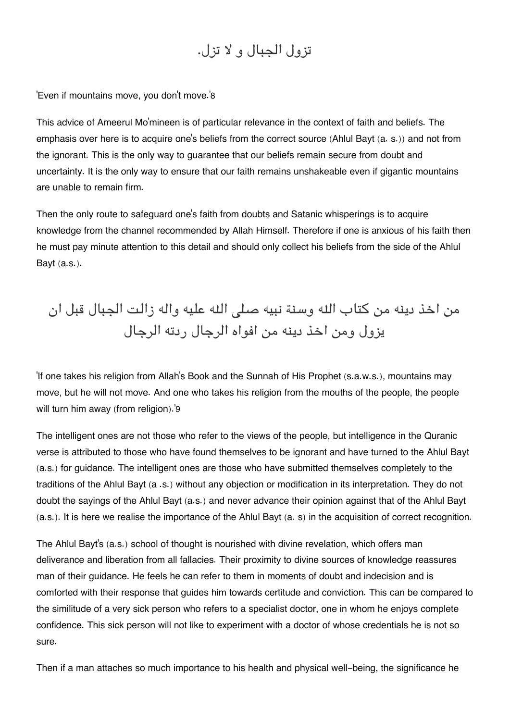### تزول الجبال و لا تزل.

'Even if mountains move, you don't move.'[8](#page--1-0)

This advice of Ameerul Mo'mineen is of particular relevance in the context of faith and beliefs. The emphasis over here is to acquire one's beliefs from the correct source (Ahlul Bayt (a. s.)) and not from the ignorant. This is the only way to guarantee that our beliefs remain secure from doubt and uncertainty. It is the only way to ensure that our faith remains unshakeable even if gigantic mountains are unable to remain firm.

Then the only route to safeguard one's faith from doubts and Satanic whisperings is to acquire knowledge from the channel recommended by Allah Himself. Therefore if one is anxious of his faith then he must pay minute attention to this detail and should only collect his beliefs from the side of the Ahlul Bayt (a.s.).

## من اخذ دينه من كتاب اله وسنة نبيه صل اله عليه واله زالت الجبال قبل ان يزول ومن اخذ دينه من افواه الرجال ردته الرجال

'If one takes his religion from Allah's Book and the Sunnah of His Prophet (s.a.w.s.), mountains may move, but he will not move. And one who takes his religion from the mouths of the people, the people will turn him away (from religion).'[9](#page--1-0)

The intelligent ones are not those who refer to the views of the people, but intelligence in the Quranic verse is attributed to those who have found themselves to be ignorant and have turned to the Ahlul Bayt (a.s.) for guidance. The intelligent ones are those who have submitted themselves completely to the traditions of the Ahlul Bayt (a .s.) without any objection or modification in its interpretation. They do not doubt the sayings of the Ahlul Bayt (a.s.) and never advance their opinion against that of the Ahlul Bayt (a.s.). It is here we realise the importance of the Ahlul Bayt (a. s) in the acquisition of correct recognition.

The Ahlul Bayt's (a.s.) school of thought is nourished with divine revelation, which offers man deliverance and liberation from all fallacies. Their proximity to divine sources of knowledge reassures man of their guidance. He feels he can refer to them in moments of doubt and indecision and is comforted with their response that guides him towards certitude and conviction. This can be compared to the similitude of a very sick person who refers to a specialist doctor, one in whom he enjoys complete confidence. This sick person will not like to experiment with a doctor of whose credentials he is not so sure.

Then if a man attaches so much importance to his health and physical well-being, the significance he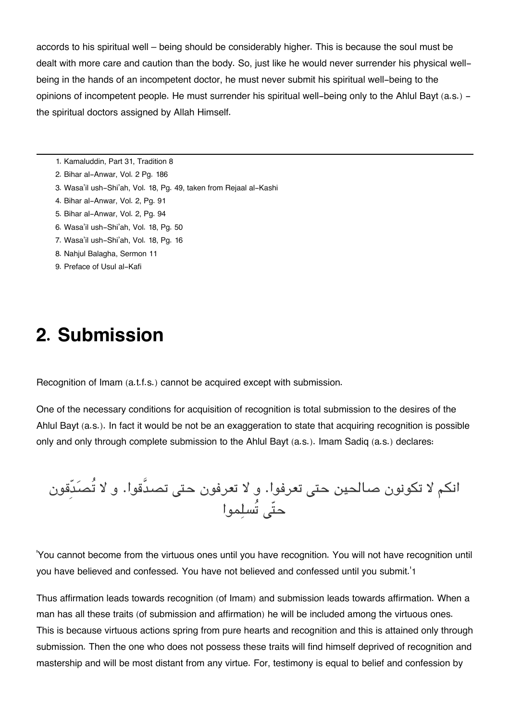accords to his spiritual well – being should be considerably higher. This is because the soul must be dealt with more care and caution than the body. So, just like he would never surrender his physical wellbeing in the hands of an incompetent doctor, he must never submit his spiritual well-being to the opinions of incompetent people. He must surrender his spiritual well-being only to the Ahlul Bayt (a.s.) the spiritual doctors assigned by Allah Himself.

- [1.](#page--1-0) Kamaluddin, Part 31, Tradition 8
- [2.](#page--1-0) Bihar al-Anwar, Vol. 2 Pg. 186
- [3.](#page--1-0) Wasa'il ush-Shi'ah, Vol. 18, Pg. 49, taken from Rejaal al-Kashi
- [4.](#page--1-0) Bihar al-Anwar, Vol. 2, Pg. 91
- [5.](#page--1-0) Bihar al-Anwar, Vol. 2, Pg. 94
- [6.](#page--1-0) Wasa'il ush-Shi'ah, Vol. 18, Pg. 50
- [7.](#page--1-0) Wasa'il ush-Shi'ah, Vol. 18, Pg. 16
- [8.](#page--1-0) Nahjul Balagha, Sermon 11
- [9.](#page--1-0) Preface of Usul al-Kafi

### **2. Submission**

Recognition of Imam (a.t.f.s.) cannot be acquired except with submission.

One of the necessary conditions for acquisition of recognition is total submission to the desires of the Ahlul Bayt (a.s.). In fact it would be not be an exaggeration to state that acquiring recognition is possible only and only through complete submission to the Ahlul Bayt (a.s.). Imam Sadiq (a.s.) declares:

انكم لا تكونون صالحين حتى تعرفوا. و لا تعرفون حتى تصدَّقوا. و لا تُصدَّقون حتّى تُسلِّموا

'You cannot become from the virtuous ones until you have recognition. You will not have recognition until you have believed and confessed. You have not believed and confessed until you submit.'[1](#page--1-0)

Thus affirmation leads towards recognition (of Imam) and submission leads towards affirmation. When a man has all these traits (of submission and affirmation) he will be included among the virtuous ones. This is because virtuous actions spring from pure hearts and recognition and this is attained only through submission. Then the one who does not possess these traits will find himself deprived of recognition and mastership and will be most distant from any virtue. For, testimony is equal to belief and confession by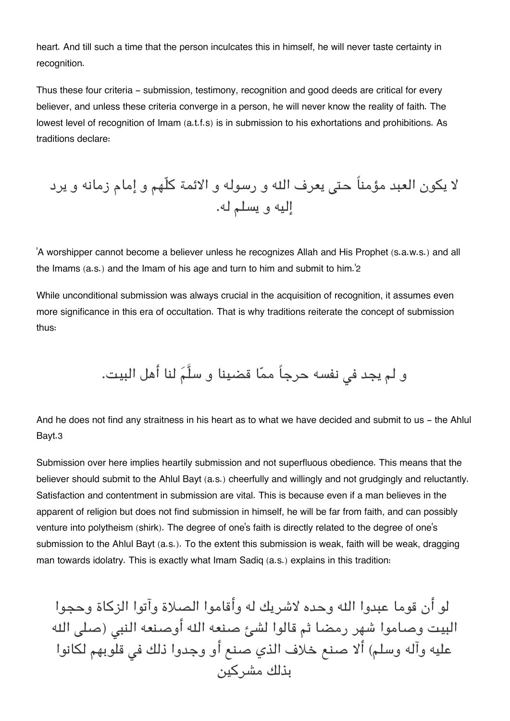heart. And till such a time that the person inculcates this in himself, he will never taste certainty in recognition.

Thus these four criteria - submission, testimony, recognition and good deeds are critical for every believer, and unless these criteria converge in a person, he will never know the reality of faith. The lowest level of recognition of Imam (a.t.f.s) is in submission to his exhortations and prohibitions. As traditions declare:

لا يون العبد مؤمناً حت يعرف اله و رسوله و الائمة كلّهم و إمام زمانه و يرد إليه و يسلم له.

'A worshipper cannot become a believer unless he recognizes Allah and His Prophet (s.a.w.s.) and all the Imams (a.s.) and the Imam of his age and turn to him and submit to him.'[2](#page--1-0)

While unconditional submission was always crucial in the acquisition of recognition, it assumes even more significance in this era of occultation. That is why traditions reiterate the concept of submission thus:

و لم يجد في نفسه حرجاً ممّا قضينا و سلَّمَ لنا أهل البيت.

And he does not find any straitness in his heart as to what we have decided and submit to us - the Ahlul Bayt.[3](#page--1-0)

Submission over here implies heartily submission and not superfluous obedience. This means that the believer should submit to the Ahlul Bayt (a.s.) cheerfully and willingly and not grudgingly and reluctantly. Satisfaction and contentment in submission are vital. This is because even if a man believes in the apparent of religion but does not find submission in himself, he will be far from faith, and can possibly venture into polytheism (shirk). The degree of one's faith is directly related to the degree of one's submission to the Ahlul Bayt (a.s.). To the extent this submission is weak, faith will be weak, dragging man towards idolatry. This is exactly what Imam Sadiq (a.s.) explains in this tradition:

 لو أن قوما عبدوا اله وحده لاشريك له وأقاموا الصلاة وآتوا الزكاة وحجوا البيت وصاموا شهر رمضا ثم قالوا لشئ صنعه الله أوصنعه النبى (صلى الله عليه وآله وسلم) ألا صنع خلاف الذي صنع أو وجدوا ذلك ف قلوبهم لانوا بذلك مشركين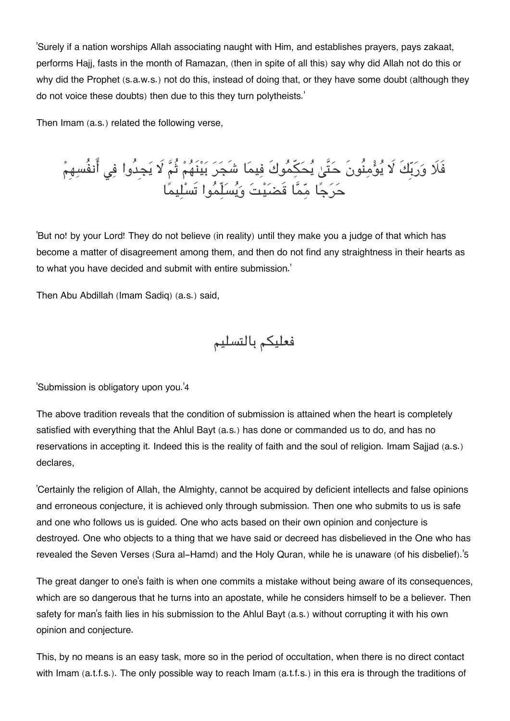'Surely if a nation worships Allah associating naught with Him, and establishes prayers, pays zakaat, performs Hajj, fasts in the month of Ramazan, (then in spite of all this) say why did Allah not do this or why did the Prophet (s.a.w.s.) not do this, instead of doing that, or they have some doubt (although they do not voice these doubts) then due to this they turn polytheists.'

Then Imam (a.s.) related the following verse,

فَلَا وَرَبَّكَ لَا يَوْمِنُونَ حَتَّىٰ يَحَكِمُوكَ فِيمَا شَجَرَ بَيْنَهُمْ ثُمَّ لَا يَجِدُوا فِي انفُسِهِمْ حرجا مما قَضيت ويسلّموا تَسليما

'But no! by your Lord! They do not believe (in reality) until they make you a judge of that which has become a matter of disagreement among them, and then do not find any straightness in their hearts as to what you have decided and submit with entire submission.'

Then Abu Abdillah (Imam Sadiq) (a.s.) said,

فعليم بالتسليم

'Submission is obligatory upon you.'[4](#page--1-0)

The above tradition reveals that the condition of submission is attained when the heart is completely satisfied with everything that the Ahlul Bayt (a.s.) has done or commanded us to do, and has no reservations in accepting it. Indeed this is the reality of faith and the soul of religion. Imam Sajjad (a.s.) declares,

'Certainly the religion of Allah, the Almighty, cannot be acquired by deficient intellects and false opinions and erroneous conjecture, it is achieved only through submission. Then one who submits to us is safe and one who follows us is guided. One who acts based on their own opinion and conjecture is destroyed. One who objects to a thing that we have said or decreed has disbelieved in the One who has revealed the Seven Verses (Sura al-Hamd) and the Holy Quran, while he is unaware (of his disbelief).'[5](#page--1-0)

The great danger to one's faith is when one commits a mistake without being aware of its consequences, which are so dangerous that he turns into an apostate, while he considers himself to be a believer. Then safety for man's faith lies in his submission to the Ahlul Bayt (a.s.) without corrupting it with his own opinion and conjecture.

This, by no means is an easy task, more so in the period of occultation, when there is no direct contact with Imam (a.t.f.s.). The only possible way to reach Imam (a.t.f.s.) in this era is through the traditions of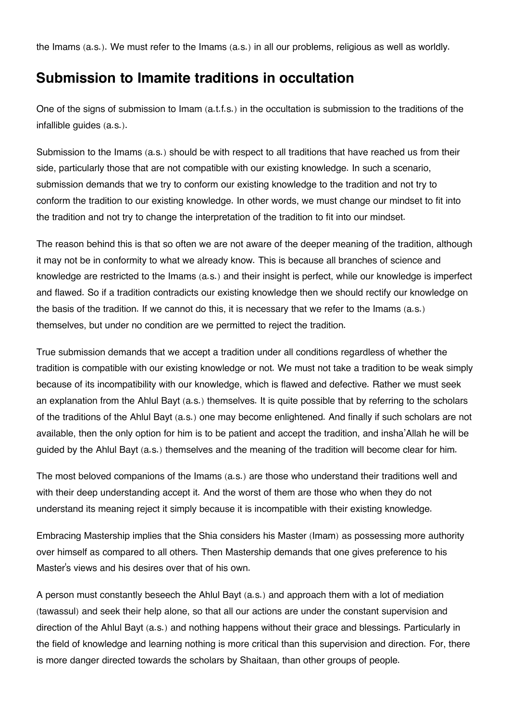the Imams (a.s.). We must refer to the Imams (a.s.) in all our problems, religious as well as worldly.

### **[Submission to Imamite traditions in occultation](#page--1-0)**

One of the signs of submission to Imam (a.t.f.s.) in the occultation is submission to the traditions of the infallible guides (a.s.).

Submission to the Imams (a.s.) should be with respect to all traditions that have reached us from their side, particularly those that are not compatible with our existing knowledge. In such a scenario, submission demands that we try to conform our existing knowledge to the tradition and not try to conform the tradition to our existing knowledge. In other words, we must change our mindset to fit into the tradition and not try to change the interpretation of the tradition to fit into our mindset.

The reason behind this is that so often we are not aware of the deeper meaning of the tradition, although it may not be in conformity to what we already know. This is because all branches of science and knowledge are restricted to the Imams (a.s.) and their insight is perfect, while our knowledge is imperfect and flawed. So if a tradition contradicts our existing knowledge then we should rectify our knowledge on the basis of the tradition. If we cannot do this, it is necessary that we refer to the Imams (a.s.) themselves, but under no condition are we permitted to reject the tradition.

True submission demands that we accept a tradition under all conditions regardless of whether the tradition is compatible with our existing knowledge or not. We must not take a tradition to be weak simply because of its incompatibility with our knowledge, which is flawed and defective. Rather we must seek an explanation from the Ahlul Bayt (a.s.) themselves. It is quite possible that by referring to the scholars of the traditions of the Ahlul Bayt (a.s.) one may become enlightened. And finally if such scholars are not available, then the only option for him is to be patient and accept the tradition, and insha'Allah he will be guided by the Ahlul Bayt (a.s.) themselves and the meaning of the tradition will become clear for him.

The most beloved companions of the Imams (a.s.) are those who understand their traditions well and with their deep understanding accept it. And the worst of them are those who when they do not understand its meaning reject it simply because it is incompatible with their existing knowledge.

Embracing Mastership implies that the Shia considers his Master (Imam) as possessing more authority over himself as compared to all others. Then Mastership demands that one gives preference to his Master's views and his desires over that of his own.

A person must constantly beseech the Ahlul Bayt (a.s.) and approach them with a lot of mediation (tawassul) and seek their help alone, so that all our actions are under the constant supervision and direction of the Ahlul Bayt (a.s.) and nothing happens without their grace and blessings. Particularly in the field of knowledge and learning nothing is more critical than this supervision and direction. For, there is more danger directed towards the scholars by Shaitaan, than other groups of people.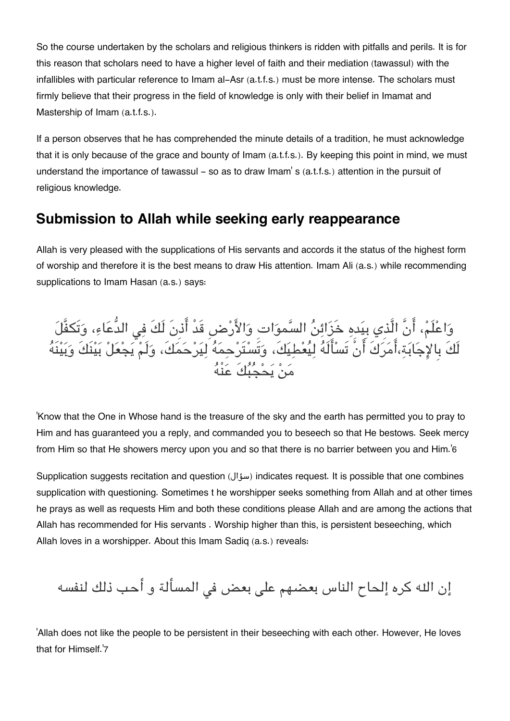So the course undertaken by the scholars and religious thinkers is ridden with pitfalls and perils. It is for this reason that scholars need to have a higher level of faith and their mediation (tawassul) with the infallibles with particular reference to Imam al-Asr (a.t.f.s.) must be more intense. The scholars must firmly believe that their progress in the field of knowledge is only with their belief in Imamat and Mastership of Imam (a.t.f.s.).

If a person observes that he has comprehended the minute details of a tradition, he must acknowledge that it is only because of the grace and bounty of Imam (a.t.f.s.). By keeping this point in mind, we must understand the importance of tawassul – so as to draw Imam's (a.t.f.s.) attention in the pursuit of religious knowledge.

### **[Submission to Allah while seeking early reappearance](#page--1-0)**

Allah is very pleased with the supplications of His servants and accords it the status of the highest form of worship and therefore it is the best means to draw His attention. Imam Ali (a.s.) while recommending supplications to Imam Hasan (a.s.) says:

وَاعْلَمْ، انْ الذي بِيَدِهِ خَزَائِنَ السَّموَاتِ وَالأَرْضِ قَدْ اذْنِ لَكَ فِي الدُّعَاءِ، وَتَكْفَلَ لَكَ بِالاجابة،امركَ انْ تَسالَه ليعطيك،َ وتَستَرحمه ليرحمك،َ ولَم يجعل بينَكَ وبينَه مَنْ يَحْجَبُكَ عَنْهُ

'Know that the One in Whose hand is the treasure of the sky and the earth has permitted you to pray to Him and has guaranteed you a reply, and commanded you to beseech so that He bestows. Seek mercy from Him so that He showers mercy upon you and so that there is no barrier between you and Him.'[6](#page--1-0)

Supplication suggests recitation and question (سؤال (indicates request. It is possible that one combines supplication with questioning. Sometimes t he worshipper seeks something from Allah and at other times he prays as well as requests Him and both these conditions please Allah and are among the actions that Allah has recommended for His servants . Worship higher than this, is persistent beseeching, which Allah loves in a worshipper. About this Imam Sadiq (a.s.) reveals:

إن الله كره إلحاح الناس بعضهم على بعض فى المسألة و أحب ذلك لنفسه

'Allah does not like the people to be persistent in their beseeching with each other. However, He loves that for Himself.'[7](#page--1-0)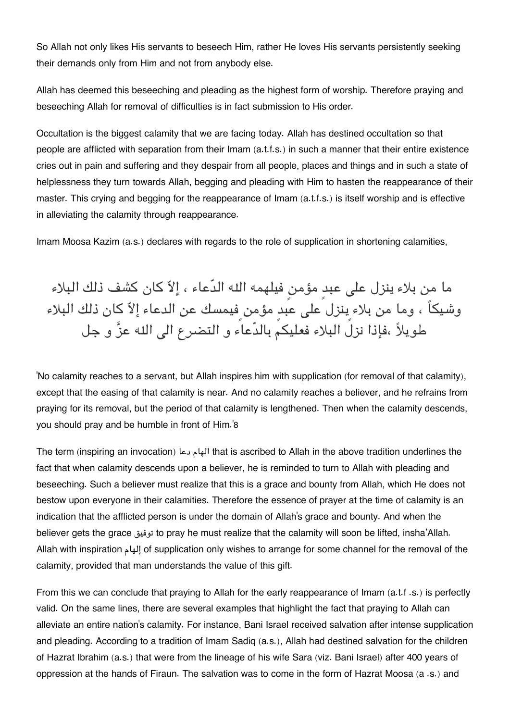So Allah not only likes His servants to beseech Him, rather He loves His servants persistently seeking their demands only from Him and not from anybody else.

Allah has deemed this beseeching and pleading as the highest form of worship. Therefore praying and beseeching Allah for removal of difficulties is in fact submission to His order.

Occultation is the biggest calamity that we are facing today. Allah has destined occultation so that people are afflicted with separation from their Imam (a.t.f.s.) in such a manner that their entire existence cries out in pain and suffering and they despair from all people, places and things and in such a state of helplessness they turn towards Allah, begging and pleading with Him to hasten the reappearance of their master. This crying and begging for the reappearance of Imam (a.t.f.s.) is itself worship and is effective in alleviating the calamity through reappearance.

Imam Moosa Kazim (a.s.) declares with regards to the role of supplication in shortening calamities,

ما من بلاء ينزل على عبدٍ مؤمنٍ فيلهمه الله الدّعاء ، إلاّ كان كشف ذلك البلاء وشيكاً ، وما من بلاء ينزل على عبدٍ مؤمن فيمسك عن الدعاء إلاّ كان ذلك البلاء طويلاً ،فإذا نزل البلاء فعليكم بالدّعاء و التضرع الى الله عزَّ و جل

'No calamity reaches to a servant, but Allah inspires him with supplication (for removal of that calamity), except that the easing of that calamity is near. And no calamity reaches a believer, and he refrains from praying for its removal, but the period of that calamity is lengthened. Then when the calamity descends, you should pray and be humble in front of Him.'[8](#page--1-0)

The term (inspiring an invocation) دعا الهام that is ascribed to Allah in the above tradition underlines the fact that when calamity descends upon a believer, he is reminded to turn to Allah with pleading and beseeching. Such a believer must realize that this is a grace and bounty from Allah, which He does not bestow upon everyone in their calamities. Therefore the essence of prayer at the time of calamity is an indication that the afflicted person is under the domain of Allah's grace and bounty. And when the believer gets the grace توفيق to pray he must realize that the calamity will soon be lifted, insha'Allah. Allah with inspiration إلهام of supplication only wishes to arrange for some channel for the removal of the calamity, provided that man understands the value of this gift.

From this we can conclude that praying to Allah for the early reappearance of Imam (a.t.f .s.) is perfectly valid. On the same lines, there are several examples that highlight the fact that praying to Allah can alleviate an entire nation's calamity. For instance, Bani Israel received salvation after intense supplication and pleading. According to a tradition of Imam Sadiq (a.s.), Allah had destined salvation for the children of Hazrat Ibrahim (a.s.) that were from the lineage of his wife Sara (viz. Bani Israel) after 400 years of oppression at the hands of Firaun. The salvation was to come in the form of Hazrat Moosa (a .s.) and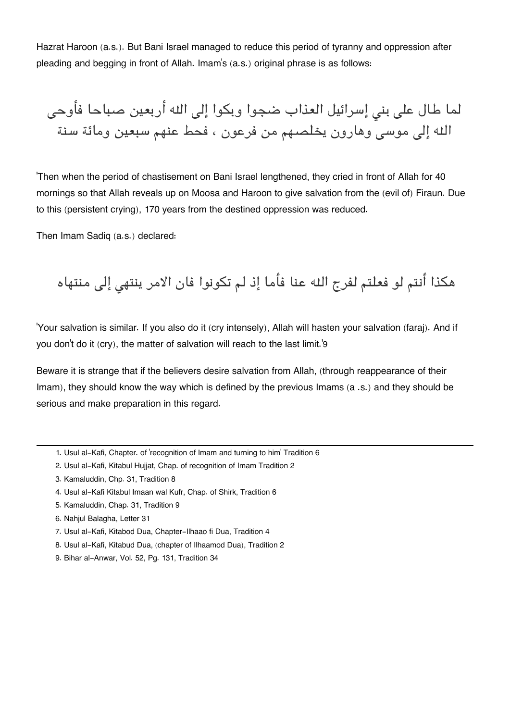Hazrat Haroon (a.s.). But Bani Israel managed to reduce this period of tyranny and oppression after pleading and begging in front of Allah. Imam's (a.s.) original phrase is as follows:

لما طال على بنى إسرائيل العذاب ضجوا وبكوا إلى الله أربعين صباحا فأوحى الله إلى موسى وهارون يخلصهم من فرعون ، فحط عنهم سبعين ومائة سنة

'Then when the period of chastisement on Bani Israel lengthened, they cried in front of Allah for 40 mornings so that Allah reveals up on Moosa and Haroon to give salvation from the (evil of) Firaun. Due to this (persistent crying), 170 years from the destined oppression was reduced.

Then Imam Sadiq (a.s.) declared:

هكذا أنتم لو فعلتم لفرج الله عنا فأما إذ لم تكونوا فان الامر ينتهى إلى منتهاه

'Your salvation is similar. If you also do it (cry intensely), Allah will hasten your salvation (faraj). And if you don't do it (cry), the matter of salvation will reach to the last limit.'[9](#page--1-0)

Beware it is strange that if the believers desire salvation from Allah, (through reappearance of their Imam), they should know the way which is defined by the previous Imams (a .s.) and they should be serious and make preparation in this regard.

- [1.](#page--1-0) Usul al-Kafi, Chapter. of 'recognition of Imam and turning to him' Tradition 6
- [2.](#page--1-0) Usul al-Kafi, Kitabul Hujjat, Chap. of recognition of Imam Tradition 2
- [3.](#page--1-0) Kamaluddin, Chp. 31, Tradition 8
- [4.](#page--1-0) Usul al-Kafi Kitabul Imaan wal Kufr, Chap. of Shirk, Tradition 6
- [5.](#page--1-0) Kamaluddin, Chap. 31, Tradition 9
- [6.](#page--1-0) Nahjul Balagha, Letter 31
- [7.](#page--1-0) Usul al-Kafi, Kitabod Dua, Chapter-Ilhaao fi Dua, Tradition 4
- [8.](#page--1-0) Usul al-Kafi, Kitabud Dua, (chapter of Ilhaamod Dua), Tradition 2
- [9.](#page--1-0) Bihar al-Anwar, Vol. 52, Pg. 131, Tradition 34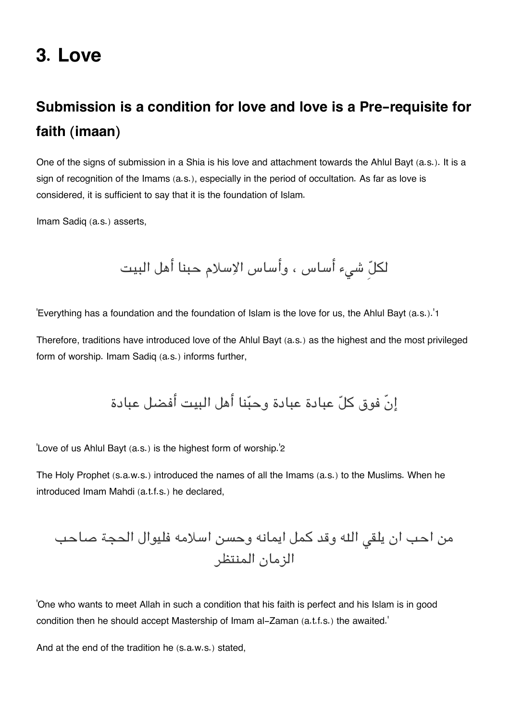## **3. Love**

## **[Submission is a condition for love and love is a Pre-requisite for](#page--1-0) [faith \(imaan\)](#page--1-0)**

One of the signs of submission in a Shia is his love and attachment towards the Ahlul Bayt (a.s.). It is a sign of recognition of the Imams (a.s.), especially in the period of occultation. As far as love is considered, it is sufficient to say that it is the foundation of Islam.

Imam Sadiq (a.s.) asserts,

لل شء أساس ، وأساس الاسلام حبنا أهل البيت

'Everything has a foundation and the foundation of Islam is the love for us, the Ahlul Bayt (a.s.).'[1](#page--1-0)

Therefore, traditions have introduced love of the Ahlul Bayt (a.s.) as the highest and the most privileged form of worship. Imam Sadiq (a.s.) informs further,

إنّ فوق كل عبادة عبادة وحبنا أهل البيت أفضل عبادة

'Love of us Ahlul Bayt (a.s.) is the highest form of worship.'[2](#page--1-0)

The Holy Prophet (s.a.w.s.) introduced the names of all the Imams (a.s.) to the Muslims. When he introduced Imam Mahdi (a.t.f.s.) he declared,

من احب ان يلق اله وقد كمل ايمانه وحسن اسلامه فليوال الحجة صاحب الزمان المنتظر

'One who wants to meet Allah in such a condition that his faith is perfect and his Islam is in good condition then he should accept Mastership of Imam al-Zaman (a.t.f.s.) the awaited.'

And at the end of the tradition he (s.a.w.s.) stated,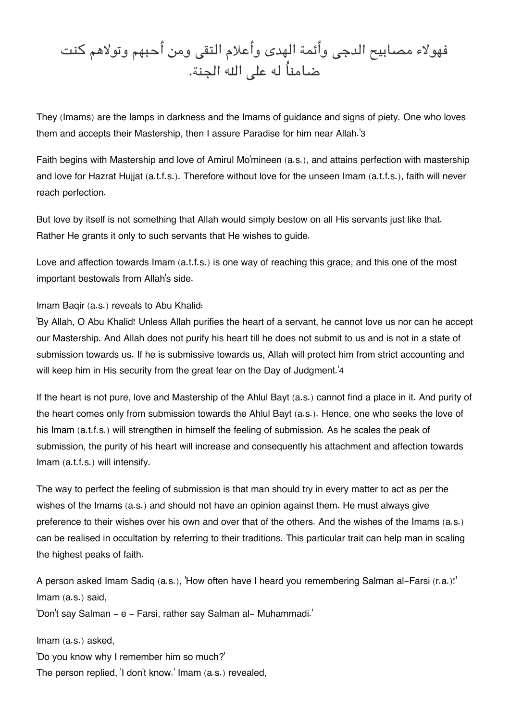فهولاء مصابيح الدجى وأئمة الهدى وأعلام التقى ومن أحبهم وتولاهم كنت ضامناُ له عل اله الجنة.

They (Imams) are the lamps in darkness and the Imams of guidance and signs of piety. One who loves them and accepts their Mastership, then I assure Paradise for him near Allah.'[3](#page--1-0)

Faith begins with Mastership and love of Amirul Mo'mineen (a.s.), and attains perfection with mastership and love for Hazrat Hujjat (a.t.f.s.). Therefore without love for the unseen Imam (a.t.f.s.), faith will never reach perfection.

But love by itself is not something that Allah would simply bestow on all His servants just like that. Rather He grants it only to such servants that He wishes to guide.

Love and affection towards Imam (a.t.f.s.) is one way of reaching this grace, and this one of the most important bestowals from Allah's side.

#### Imam Baqir (a.s.) reveals to Abu Khalid:

'By Allah, O Abu Khalid! Unless Allah purifies the heart of a servant, he cannot love us nor can he accept our Mastership. And Allah does not purify his heart till he does not submit to us and is not in a state of submission towards us. If he is submissive towards us, Allah will protect him from strict accounting and will keep him in His security from the great fear on the Day of Judgment.<sup>'[4](#page--1-0)</sup>

If the heart is not pure, love and Mastership of the Ahlul Bayt (a.s.) cannot find a place in it. And purity of the heart comes only from submission towards the Ahlul Bayt (a.s.). Hence, one who seeks the love of his Imam (a.t.f.s.) will strengthen in himself the feeling of submission. As he scales the peak of submission, the purity of his heart will increase and consequently his attachment and affection towards Imam (a.t.f.s.) will intensify.

The way to perfect the feeling of submission is that man should try in every matter to act as per the wishes of the Imams (a.s.) and should not have an opinion against them. He must always give preference to their wishes over his own and over that of the others. And the wishes of the Imams (a.s.) can be realised in occultation by referring to their traditions. This particular trait can help man in scaling the highest peaks of faith.

A person asked Imam Sadiq (a.s.), 'How often have I heard you remembering Salman al-Farsi (r.a.)!' Imam (a.s.) said,

'Don't say Salman - e - Farsi, rather say Salman al- Muhammadi.'

Imam (a.s.) asked, 'Do you know why I remember him so much?' The person replied, 'I don't know.' Imam (a.s.) revealed,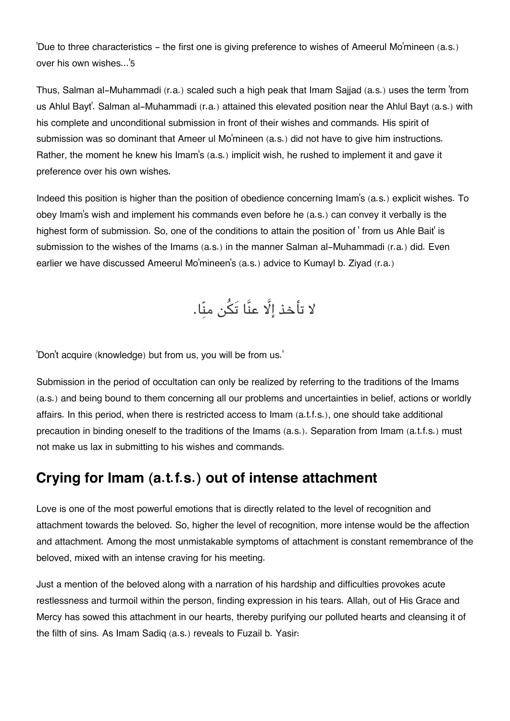'Due to three characteristics - the first one is giving preference to wishes of Ameerul Mo'mineen (a.s.) over his own wishes...'[5](#page--1-0)

Thus, Salman al-Muhammadi (r.a.) scaled such a high peak that Imam Sajjad (a.s.) uses the term 'from us Ahlul Bayt'. Salman al-Muhammadi (r.a.) attained this elevated position near the Ahlul Bayt (a.s.) with his complete and unconditional submission in front of their wishes and commands. His spirit of submission was so dominant that Ameer ul Mo'mineen (a.s.) did not have to give him instructions. Rather, the moment he knew his Imam's (a.s.) implicit wish, he rushed to implement it and gave it preference over his own wishes.

Indeed this position is higher than the position of obedience concerning Imam's (a.s.) explicit wishes. To obey Imam's wish and implement his commands even before he (a.s.) can convey it verbally is the highest form of submission. So, one of the conditions to attain the position of ' from us Ahle Bait' is submission to the wishes of the Imams (a.s.) in the manner Salman al-Muhammadi (r.a.) did. Even earlier we have discussed Ameerul Mo'mineen's (a.s.) advice to Kumayl b. Ziyad (r.a.)

لا تأخذ إلَّا عنَّا تَكُن منّا.

'Don't acquire (knowledge) but from us, you will be from us.'

Submission in the period of occultation can only be realized by referring to the traditions of the Imams (a.s.) and being bound to them concerning all our problems and uncertainties in belief, actions or worldly affairs. In this period, when there is restricted access to Imam (a.t.f.s.), one should take additional precaution in binding oneself to the traditions of the Imams (a.s.). Separation from Imam (a.t.f.s.) must not make us lax in submitting to his wishes and commands.

### **[Crying for Imam \(a.t.f.s.\) out of intense attachment](#page--1-0)**

Love is one of the most powerful emotions that is directly related to the level of recognition and attachment towards the beloved. So, higher the level of recognition, more intense would be the affection and attachment. Among the most unmistakable symptoms of attachment is constant remembrance of the beloved, mixed with an intense craving for his meeting.

Just a mention of the beloved along with a narration of his hardship and difficulties provokes acute restlessness and turmoil within the person, finding expression in his tears. Allah, out of His Grace and Mercy has sowed this attachment in our hearts, thereby purifying our polluted hearts and cleansing it of the filth of sins. As Imam Sadiq (a.s.) reveals to Fuzail b. Yasir: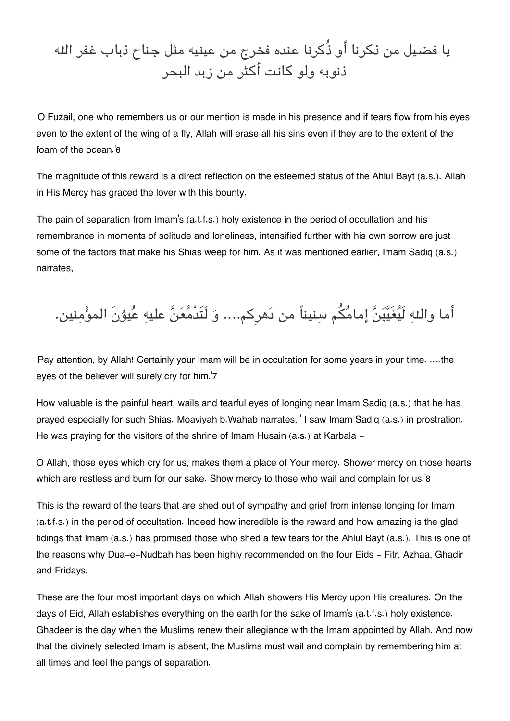# يا فضيل من ذكرنا أو ذُكرنا عنده فخرج من عينيه مثل جناح ذباب غفر اله ذنوبه ولو كانت أكثر من زبد البحر

'O Fuzail, one who remembers us or our mention is made in his presence and if tears flow from his eyes even to the extent of the wing of a fly, Allah will erase all his sins even if they are to the extent of the foam of the ocean.'[6](#page--1-0)

The magnitude of this reward is a direct reflection on the esteemed status of the Ahlul Bayt (a.s.). Allah in His Mercy has graced the lover with this bounty.

The pain of separation from Imam's (a.t.f.s.) holy existence in the period of occultation and his remembrance in moments of solitude and loneliness, intensified further with his own sorrow are just some of the factors that make his Shias weep for him. As it was mentioned earlier, Imam Sadiq (a.s.) narrates,

أما واللهِ لَيُغَيَّبَنَّ إمامُكُم سنيناً من دَهركم.... وَ لَتَدْمُعَنَّ عليهِ عُيوُنَ الموُّمِنين.

'Pay attention, by Allah! Certainly your Imam will be in occultation for some years in your time. ....the eyes of the believer will surely cry for him.'[7](#page--1-0)

How valuable is the painful heart, wails and tearful eyes of longing near Imam Sadiq (a.s.) that he has prayed especially for such Shias. Moaviyah b.Wahab narrates, ' I saw Imam Sadiq (a.s.) in prostration. He was praying for the visitors of the shrine of Imam Husain (a.s.) at Karbala -

O Allah, those eyes which cry for us, makes them a place of Your mercy. Shower mercy on those hearts which are restless and burn for our sake. Show mercy to those who wail and complain for us.<sup>'[8](#page--1-0)</sup>

This is the reward of the tears that are shed out of sympathy and grief from intense longing for Imam (a.t.f.s.) in the period of occultation. Indeed how incredible is the reward and how amazing is the glad tidings that Imam (a.s.) has promised those who shed a few tears for the Ahlul Bayt (a.s.). This is one of the reasons why Dua-e-Nudbah has been highly recommended on the four Eids - Fitr, Azhaa, Ghadir and Fridays.

These are the four most important days on which Allah showers His Mercy upon His creatures. On the days of Eid, Allah establishes everything on the earth for the sake of Imam's (a.t.f.s.) holy existence. Ghadeer is the day when the Muslims renew their allegiance with the Imam appointed by Allah. And now that the divinely selected Imam is absent, the Muslims must wail and complain by remembering him at all times and feel the pangs of separation.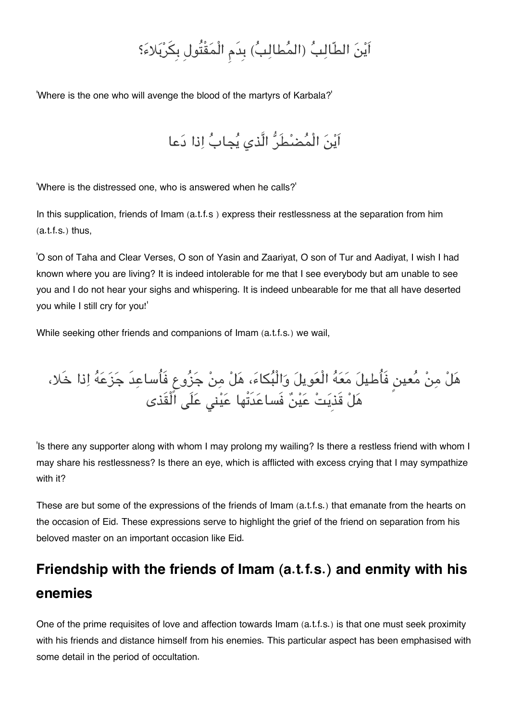# اَيْنَ الطّالِبُ (المُطالِبُ) بِدَمِ الْمَقْتُولِ بِكَرْبَلاءَ؟

'Where is the one who will avenge the blood of the martyrs of Karbala?'

اَين الْمضطَر الَّذي يجاب اذا دعا

'Where is the distressed one, who is answered when he calls?'

In this supplication, friends of Imam (a.t.f.s ) express their restlessness at the separation from him  $(a.t.f.s.)$  thus,

'O son of Taha and Clear Verses, O son of Yasin and Zaariyat, O son of Tur and Aadiyat, I wish I had known where you are living? It is indeed intolerable for me that I see everybody but am unable to see you and I do not hear your sighs and whispering. It is indeed unbearable for me that all have deserted you while I still cry for you!'

While seeking other friends and companions of Imam (a.t.f.s.) we wail,

هَلْ مِنْ مُعينِ فَأُطيلَ مَعَهُ الْعَويلَ وَالْبُكاءَ، هَلْ مِنْ جَزُوعٍ فَأُساعِدَ جَزَعَهُ اِذا خَلا، هَلْ قَذِيَتْ عَيْنٌ فَساعَدَتْها عَيْنى عَلَى الَّقَذى

'Is there any supporter along with whom I may prolong my wailing? Is there a restless friend with whom I may share his restlessness? Is there an eye, which is afflicted with excess crying that I may sympathize with it?

These are but some of the expressions of the friends of Imam (a.t.f.s.) that emanate from the hearts on the occasion of Eid. These expressions serve to highlight the grief of the friend on separation from his beloved master on an important occasion like Eid.

## **[Friendship with the friends of Imam \(a.t.f.s.\) and enmity with his](#page--1-0) [enemies](#page--1-0)**

One of the prime requisites of love and affection towards Imam (a.t.f.s.) is that one must seek proximity with his friends and distance himself from his enemies. This particular aspect has been emphasised with some detail in the period of occultation.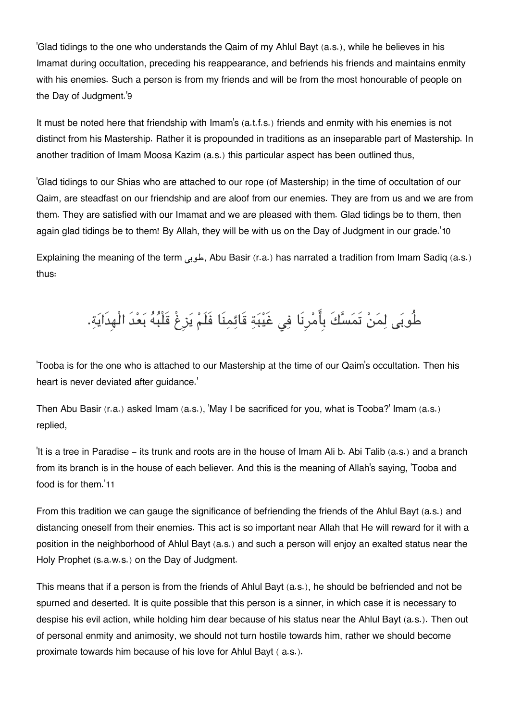'Glad tidings to the one who understands the Qaim of my Ahlul Bayt (a.s.), while he believes in his Imamat during occultation, preceding his reappearance, and befriends his friends and maintains enmity with his enemies. Such a person is from my friends and will be from the most honourable of people on the Day of Judgment.'[9](#page--1-0)

It must be noted here that friendship with Imam's (a.t.f.s.) friends and enmity with his enemies is not distinct from his Mastership. Rather it is propounded in traditions as an inseparable part of Mastership. In another tradition of Imam Moosa Kazim (a.s.) this particular aspect has been outlined thus,

'Glad tidings to our Shias who are attached to our rope (of Mastership) in the time of occultation of our Qaim, are steadfast on our friendship and are aloof from our enemies. They are from us and we are from them. They are satisfied with our Imamat and we are pleased with them. Glad tidings be to them, then again glad tidings be to them! By Allah, they will be with us on the Day of Judgment in our grade.'[10](#page--1-0)

Explaining the meaning of the term طوب, Abu Basir (r.a.) has narrated a tradition from Imam Sadiq (a.s.) thus:

# طُوبَى لِمَنْ تَمَسَّكَ بِأَمْرِنَا فِي غَيْبَةِ قَائِمِنَا فَلَمْ يَزِغْ قَلْبُهُ بَعْدَ الْهِدَايَةِ.

'Tooba is for the one who is attached to our Mastership at the time of our Qaim's occultation. Then his heart is never deviated after guidance.'

Then Abu Basir (r.a.) asked Imam (a.s.), 'May I be sacrificed for you, what is Tooba?' Imam (a.s.) replied,

'It is a tree in Paradise - its trunk and roots are in the house of Imam Ali b. Abi Talib (a.s.) and a branch from its branch is in the house of each believer. And this is the meaning of Allah's saying, 'Tooba and food is for them.'[11](#page--1-0)

From this tradition we can gauge the significance of befriending the friends of the Ahlul Bayt (a.s.) and distancing oneself from their enemies. This act is so important near Allah that He will reward for it with a position in the neighborhood of Ahlul Bayt (a.s.) and such a person will enjoy an exalted status near the Holy Prophet (s.a.w.s.) on the Day of Judgment.

This means that if a person is from the friends of Ahlul Bayt (a.s.), he should be befriended and not be spurned and deserted. It is quite possible that this person is a sinner, in which case it is necessary to despise his evil action, while holding him dear because of his status near the Ahlul Bayt (a.s.). Then out of personal enmity and animosity, we should not turn hostile towards him, rather we should become proximate towards him because of his love for Ahlul Bayt ( a.s.).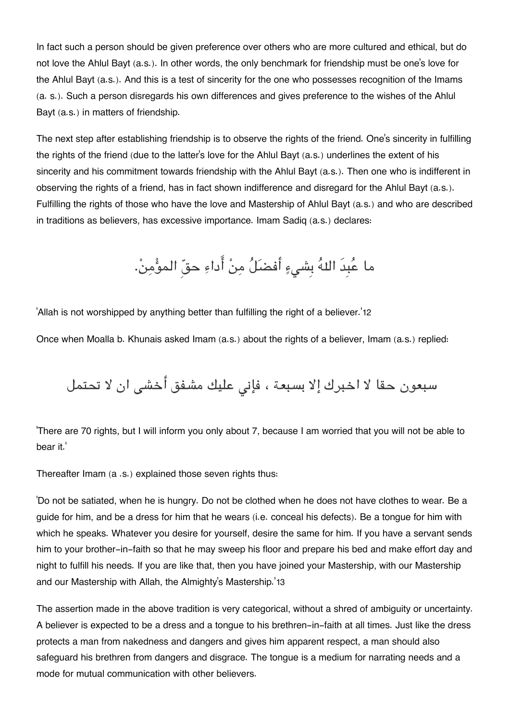In fact such a person should be given preference over others who are more cultured and ethical, but do not love the Ahlul Bayt (a.s.). In other words, the only benchmark for friendship must be one's love for the Ahlul Bayt (a.s.). And this is a test of sincerity for the one who possesses recognition of the Imams (a. s.). Such a person disregards his own differences and gives preference to the wishes of the Ahlul Bayt (a.s.) in matters of friendship.

The next step after establishing friendship is to observe the rights of the friend. One's sincerity in fulfilling the rights of the friend (due to the latter's love for the Ahlul Bayt (a.s.) underlines the extent of his sincerity and his commitment towards friendship with the Ahlul Bayt (a.s.). Then one who is indifferent in observing the rights of a friend, has in fact shown indifference and disregard for the Ahlul Bayt (a.s.). Fulfilling the rights of those who have the love and Mastership of Ahlul Bayt (a.s.) and who are described in traditions as believers, has excessive importance. Imam Sadiq (a.s.) declares:

ما عُبِدَ اللهُ بِشيءٍ أفضَلُ مِنْ أَداءِ حقّ المؤْمِنْ.

'Allah is not worshipped by anything better than fulfilling the right of a believer.'[12](#page--1-0)

Once when Moalla b. Khunais asked Imam (a.s.) about the rights of a believer, Imam (a.s.) replied:

سبعون حقا لا اخبرك إلا بسبعة ، فإنى عليك مشفق أخشى ان لا تحتمل

'There are 70 rights, but I will inform you only about 7, because I am worried that you will not be able to bear it.'

Thereafter Imam (a .s.) explained those seven rights thus:

'Do not be satiated, when he is hungry. Do not be clothed when he does not have clothes to wear. Be a guide for him, and be a dress for him that he wears (i.e. conceal his defects). Be a tongue for him with which he speaks. Whatever you desire for yourself, desire the same for him. If you have a servant sends him to your brother-in-faith so that he may sweep his floor and prepare his bed and make effort day and night to fulfill his needs. If you are like that, then you have joined your Mastership, with our Mastership and our Mastership with Allah, the Almighty's Mastership.'[13](#page--1-0)

The assertion made in the above tradition is very categorical, without a shred of ambiguity or uncertainty. A believer is expected to be a dress and a tongue to his brethren-in-faith at all times. Just like the dress protects a man from nakedness and dangers and gives him apparent respect, a man should also safeguard his brethren from dangers and disgrace. The tongue is a medium for narrating needs and a mode for mutual communication with other believers.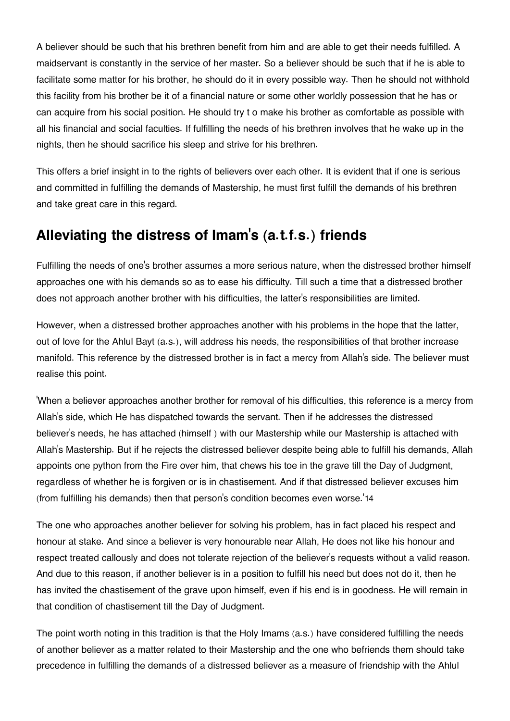A believer should be such that his brethren benefit from him and are able to get their needs fulfilled. A maidservant is constantly in the service of her master. So a believer should be such that if he is able to facilitate some matter for his brother, he should do it in every possible way. Then he should not withhold this facility from his brother be it of a financial nature or some other worldly possession that he has or can acquire from his social position. He should try t o make his brother as comfortable as possible with all his financial and social faculties. If fulfilling the needs of his brethren involves that he wake up in the nights, then he should sacrifice his sleep and strive for his brethren.

This offers a brief insight in to the rights of believers over each other. It is evident that if one is serious and committed in fulfilling the demands of Mastership, he must first fulfill the demands of his brethren and take great care in this regard.

### **[Alleviating the distress of Imam](#page--1-0)'s (a.t.f.s.) friends**

Fulfilling the needs of one's brother assumes a more serious nature, when the distressed brother himself approaches one with his demands so as to ease his difficulty. Till such a time that a distressed brother does not approach another brother with his difficulties, the latter's responsibilities are limited.

However, when a distressed brother approaches another with his problems in the hope that the latter, out of love for the Ahlul Bayt (a.s.), will address his needs, the responsibilities of that brother increase manifold. This reference by the distressed brother is in fact a mercy from Allah's side. The believer must realise this point.

'When a believer approaches another brother for removal of his difficulties, this reference is a mercy from Allah's side, which He has dispatched towards the servant. Then if he addresses the distressed believer's needs, he has attached (himself ) with our Mastership while our Mastership is attached with Allah's Mastership. But if he rejects the distressed believer despite being able to fulfill his demands, Allah appoints one python from the Fire over him, that chews his toe in the grave till the Day of Judgment, regardless of whether he is forgiven or is in chastisement. And if that distressed believer excuses him (from fulfilling his demands) then that person's condition becomes even worse.'[14](#page--1-0)

The one who approaches another believer for solving his problem, has in fact placed his respect and honour at stake. And since a believer is very honourable near Allah, He does not like his honour and respect treated callously and does not tolerate rejection of the believer's requests without a valid reason. And due to this reason, if another believer is in a position to fulfill his need but does not do it, then he has invited the chastisement of the grave upon himself, even if his end is in goodness. He will remain in that condition of chastisement till the Day of Judgment.

The point worth noting in this tradition is that the Holy Imams (a.s.) have considered fulfilling the needs of another believer as a matter related to their Mastership and the one who befriends them should take precedence in fulfilling the demands of a distressed believer as a measure of friendship with the Ahlul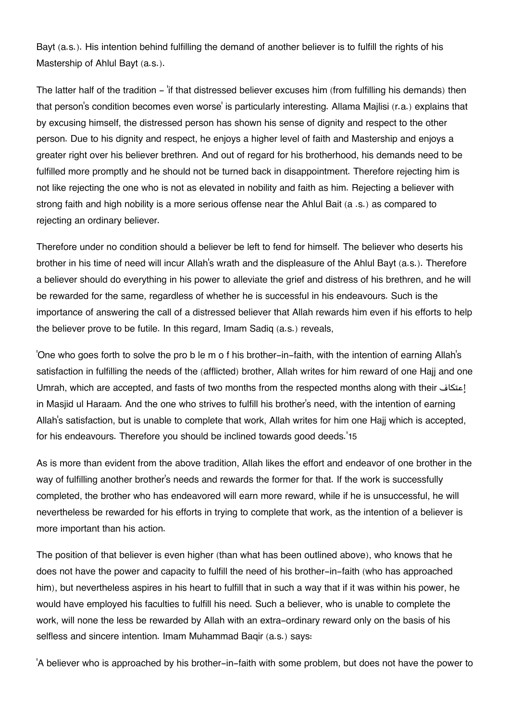Bayt (a.s.). His intention behind fulfilling the demand of another believer is to fulfill the rights of his Mastership of Ahlul Bayt (a.s.).

The latter half of the tradition – 'if that distressed believer excuses him (from fulfilling his demands) then that person's condition becomes even worse' is particularly interesting. Allama Majlisi (r.a.) explains that by excusing himself, the distressed person has shown his sense of dignity and respect to the other person. Due to his dignity and respect, he enjoys a higher level of faith and Mastership and enjoys a greater right over his believer brethren. And out of regard for his brotherhood, his demands need to be fulfilled more promptly and he should not be turned back in disappointment. Therefore rejecting him is not like rejecting the one who is not as elevated in nobility and faith as him. Rejecting a believer with strong faith and high nobility is a more serious offense near the Ahlul Bait (a .s.) as compared to rejecting an ordinary believer.

Therefore under no condition should a believer be left to fend for himself. The believer who deserts his brother in his time of need will incur Allah's wrath and the displeasure of the Ahlul Bayt (a.s.). Therefore a believer should do everything in his power to alleviate the grief and distress of his brethren, and he will be rewarded for the same, regardless of whether he is successful in his endeavours. Such is the importance of answering the call of a distressed believer that Allah rewards him even if his efforts to help the believer prove to be futile. In this regard, Imam Sadiq (a.s.) reveals,

'One who goes forth to solve the pro b le m o f his brother-in-faith, with the intention of earning Allah's satisfaction in fulfilling the needs of the (afflicted) brother, Allah writes for him reward of one Hajj and one Umrah, which are accepted, and fasts of two months from the respected months along with their افإعت in Masjid ul Haraam. And the one who strives to fulfill his brother's need, with the intention of earning Allah's satisfaction, but is unable to complete that work, Allah writes for him one Hajj which is accepted, for his endeavours. Therefore you should be inclined towards good deeds.'[15](#page--1-0)

As is more than evident from the above tradition, Allah likes the effort and endeavor of one brother in the way of fulfilling another brother's needs and rewards the former for that. If the work is successfully completed, the brother who has endeavored will earn more reward, while if he is unsuccessful, he will nevertheless be rewarded for his efforts in trying to complete that work, as the intention of a believer is more important than his action.

The position of that believer is even higher (than what has been outlined above), who knows that he does not have the power and capacity to fulfill the need of his brother-in-faith (who has approached him), but nevertheless aspires in his heart to fulfill that in such a way that if it was within his power, he would have employed his faculties to fulfill his need. Such a believer, who is unable to complete the work, will none the less be rewarded by Allah with an extra-ordinary reward only on the basis of his selfless and sincere intention. Imam Muhammad Baqir (a.s.) says:

'A believer who is approached by his brother-in-faith with some problem, but does not have the power to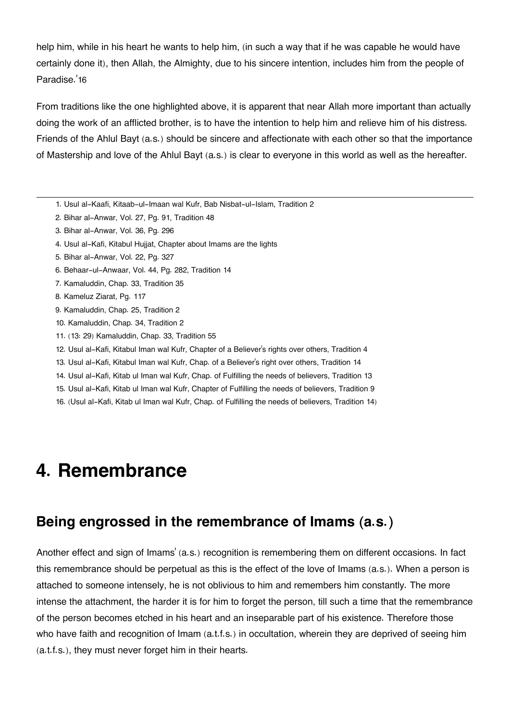help him, while in his heart he wants to help him, (in such a way that if he was capable he would have certainly done it), then Allah, the Almighty, due to his sincere intention, includes him from the people of Paradise.'[16](#page--1-0)

From traditions like the one highlighted above, it is apparent that near Allah more important than actually doing the work of an afflicted brother, is to have the intention to help him and relieve him of his distress. Friends of the Ahlul Bayt (a.s.) should be sincere and affectionate with each other so that the importance of Mastership and love of the Ahlul Bayt (a.s.) is clear to everyone in this world as well as the hereafter.

- [1.](#page--1-0) Usul al-Kaafi, Kitaab-ul-Imaan wal Kufr, Bab Nisbat-ul-Islam, Tradition 2
- [2.](#page--1-0) Bihar al-Anwar, Vol. 27, Pg. 91, Tradition 48
- [3.](#page--1-0) Bihar al-Anwar, Vol. 36, Pg. 296
- [4.](#page--1-0) Usul al-Kafi, Kitabul Hujjat, Chapter about Imams are the lights
- [5.](#page--1-0) Bihar al-Anwar, Vol. 22, Pg. 327
- [6.](#page--1-0) Behaar-ul-Anwaar, Vol. 44, Pg. 282, Tradition 14
- [7.](#page--1-0) Kamaluddin, Chap. 33, Tradition 35
- [8.](#page--1-0) Kameluz Ziarat, Pg. 117
- [9.](#page--1-0) Kamaluddin, Chap. 25, Tradition 2
- [10.](#page--1-0) Kamaluddin, Chap. 34, Tradition 2
- [11.](#page--1-0) (13: 29) Kamaluddin, Chap. 33, Tradition 55
- [12.](#page--1-0) Usul al-Kafi, Kitabul Iman wal Kufr, Chapter of a Believer's rights over others, Tradition 4
- [13.](#page--1-0) Usul al-Kafi, Kitabul Iman wal Kufr, Chap. of a Believer's right over others, Tradition 14
- [14.](#page--1-0) Usul al-Kafi, Kitab ul Iman wal Kufr, Chap. of Fulfilling the needs of believers, Tradition 13
- [15.](#page--1-0) Usul al-Kafi, Kitab ul Iman wal Kufr, Chapter of Fulfilling the needs of believers, Tradition 9
- [16.](#page--1-0) (Usul al-Kafi, Kitab ul Iman wal Kufr, Chap. of Fulfilling the needs of believers, Tradition 14)

## **4. Remembrance**

### **[Being engrossed in the remembrance of Imams \(a.s.\)](#page--1-0)**

Another effect and sign of Imams' (a.s.) recognition is remembering them on different occasions. In fact this remembrance should be perpetual as this is the effect of the love of Imams (a.s.). When a person is attached to someone intensely, he is not oblivious to him and remembers him constantly. The more intense the attachment, the harder it is for him to forget the person, till such a time that the remembrance of the person becomes etched in his heart and an inseparable part of his existence. Therefore those who have faith and recognition of Imam (a.t.f.s.) in occultation, wherein they are deprived of seeing him (a.t.f.s.), they must never forget him in their hearts.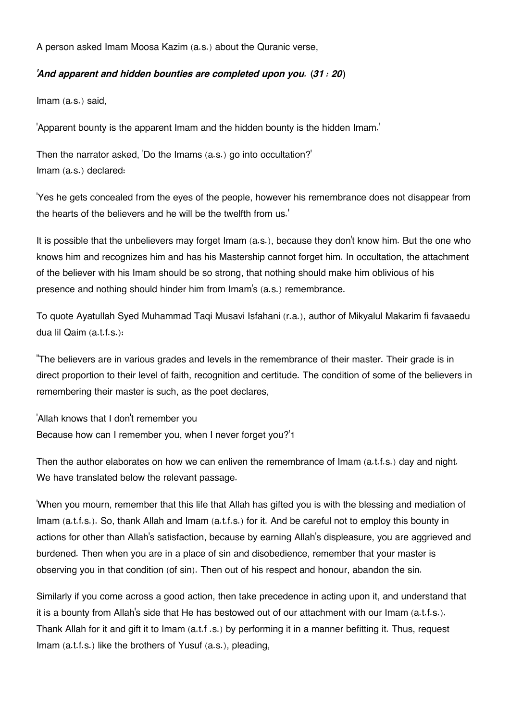A person asked Imam Moosa Kazim (a.s.) about the Quranic verse,

#### *'And apparent and hidden bounties are completed upon you. (31 : 20)*

Imam (a.s.) said,

'Apparent bounty is the apparent Imam and the hidden bounty is the hidden Imam.'

Then the narrator asked, 'Do the Imams (a.s.) go into occultation?' Imam (a.s.) declared:

'Yes he gets concealed from the eyes of the people, however his remembrance does not disappear from the hearts of the believers and he will be the twelfth from us.'

It is possible that the unbelievers may forget Imam (a.s.), because they don't know him. But the one who knows him and recognizes him and has his Mastership cannot forget him. In occultation, the attachment of the believer with his Imam should be so strong, that nothing should make him oblivious of his presence and nothing should hinder him from Imam's (a.s.) remembrance.

To quote Ayatullah Syed Muhammad Taqi Musavi Isfahani (r.a.), author of Mikyalul Makarim fi favaaedu dua lil Qaim (a.t.f.s.):

"The believers are in various grades and levels in the remembrance of their master. Their grade is in direct proportion to their level of faith, recognition and certitude. The condition of some of the believers in remembering their master is such, as the poet declares,

'Allah knows that I don't remember you Because how can I remember you, when I never forget you?'[1](#page--1-0)

Then the author elaborates on how we can enliven the remembrance of Imam (a.t.f.s.) day and night. We have translated below the relevant passage.

'When you mourn, remember that this life that Allah has gifted you is with the blessing and mediation of Imam (a.t.f.s.). So, thank Allah and Imam (a.t.f.s.) for it. And be careful not to employ this bounty in actions for other than Allah's satisfaction, because by earning Allah's displeasure, you are aggrieved and burdened. Then when you are in a place of sin and disobedience, remember that your master is observing you in that condition (of sin). Then out of his respect and honour, abandon the sin.

Similarly if you come across a good action, then take precedence in acting upon it, and understand that it is a bounty from Allah's side that He has bestowed out of our attachment with our Imam (a.t.f.s.). Thank Allah for it and gift it to Imam (a.t.f .s.) by performing it in a manner befitting it. Thus, request Imam (a.t.f.s.) like the brothers of Yusuf (a.s.), pleading,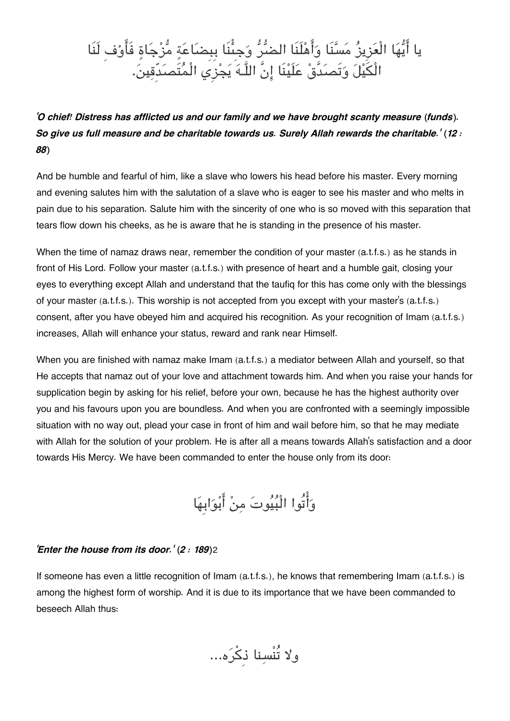# يا ايها الْعزِيز مسنَا واهلَنَا الضر وجِىنَا بِبِضاعة مزجاة فَاوفِ لَنَا الْيل وتَصدَّق علَينَا انَّ اللَّـه يجزِي الْمتَصدِّقين.

*'O chief! Distress has afflicted us and our family and we have brought scanty measure (funds). So give us full measure and be charitable towards us. Surely Allah rewards the charitable.' (12 : 88)*

And be humble and fearful of him, like a slave who lowers his head before his master. Every morning and evening salutes him with the salutation of a slave who is eager to see his master and who melts in pain due to his separation. Salute him with the sincerity of one who is so moved with this separation that tears flow down his cheeks, as he is aware that he is standing in the presence of his master.

When the time of namaz draws near, remember the condition of your master (a.t.f.s.) as he stands in front of His Lord. Follow your master (a.t.f.s.) with presence of heart and a humble gait, closing your eyes to everything except Allah and understand that the taufiq for this has come only with the blessings of your master (a.t.f.s.). This worship is not accepted from you except with your master's (a.t.f.s.) consent, after you have obeyed him and acquired his recognition. As your recognition of Imam (a.t.f.s.) increases, Allah will enhance your status, reward and rank near Himself.

When you are finished with namaz make Imam (a.t.f.s.) a mediator between Allah and yourself, so that He accepts that namaz out of your love and attachment towards him. And when you raise your hands for supplication begin by asking for his relief, before your own, because he has the highest authority over you and his favours upon you are boundless. And when you are confronted with a seemingly impossible situation with no way out, plead your case in front of him and wail before him, so that he may mediate with Allah for the solution of your problem. He is after all a means towards Allah's satisfaction and a door towards His Mercy. We have been commanded to enter the house only from its door:

واتُوا الْبيوت من ابوابِها

#### *'Enter the house from its door.' (2 : 189)*[2](#page--1-0)

If someone has even a little recognition of Imam (a.t.f.s.), he knows that remembering Imam (a.t.f.s.) is among the highest form of worship. And it is due to its importance that we have been commanded to beseech Allah thus:

ولا تُنْسنا ذِكره...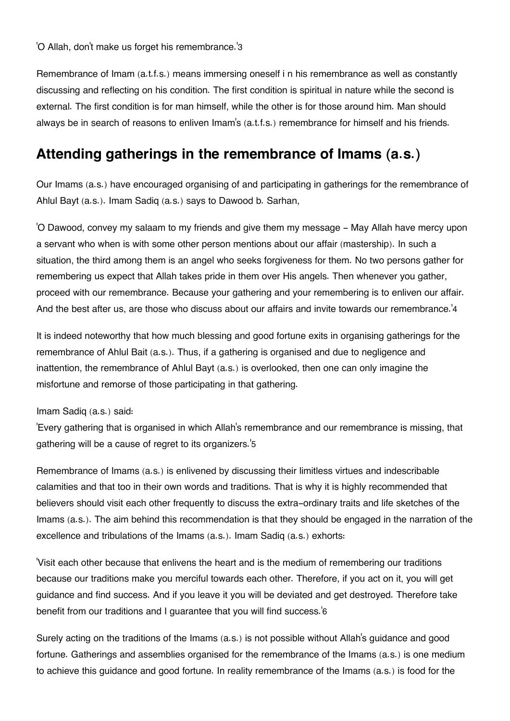'O Allah, don't make us forget his remembrance.'[3](#page--1-0)

Remembrance of Imam (a.t.f.s.) means immersing oneself i n his remembrance as well as constantly discussing and reflecting on his condition. The first condition is spiritual in nature while the second is external. The first condition is for man himself, while the other is for those around him. Man should always be in search of reasons to enliven Imam's (a.t.f.s.) remembrance for himself and his friends.

### **[Attending gatherings in the remembrance of Imams \(a.s.\)](#page--1-0)**

Our Imams (a.s.) have encouraged organising of and participating in gatherings for the remembrance of Ahlul Bayt (a.s.). Imam Sadiq (a.s.) says to Dawood b. Sarhan,

'O Dawood, convey my salaam to my friends and give them my message - May Allah have mercy upon a servant who when is with some other person mentions about our affair (mastership). In such a situation, the third among them is an angel who seeks forgiveness for them. No two persons gather for remembering us expect that Allah takes pride in them over His angels. Then whenever you gather, proceed with our remembrance. Because your gathering and your remembering is to enliven our affair. And the best after us, are those who discuss about our affairs and invite towards our remembrance.'[4](#page--1-0)

It is indeed noteworthy that how much blessing and good fortune exits in organising gatherings for the remembrance of Ahlul Bait (a.s.). Thus, if a gathering is organised and due to negligence and inattention, the remembrance of Ahlul Bayt (a.s.) is overlooked, then one can only imagine the misfortune and remorse of those participating in that gathering.

#### Imam Sadiq (a.s.) said:

'Every gathering that is organised in which Allah's remembrance and our remembrance is missing, that gathering will be a cause of regret to its organizers.'[5](#page--1-0)

Remembrance of Imams (a.s.) is enlivened by discussing their limitless virtues and indescribable calamities and that too in their own words and traditions. That is why it is highly recommended that believers should visit each other frequently to discuss the extra-ordinary traits and life sketches of the Imams (a.s.). The aim behind this recommendation is that they should be engaged in the narration of the excellence and tribulations of the Imams (a.s.). Imam Sadiq (a.s.) exhorts:

'Visit each other because that enlivens the heart and is the medium of remembering our traditions because our traditions make you merciful towards each other. Therefore, if you act on it, you will get guidance and find success. And if you leave it you will be deviated and get destroyed. Therefore take benefit from our traditions and I guarantee that you will find success.'[6](#page--1-0)

Surely acting on the traditions of the Imams (a.s.) is not possible without Allah's guidance and good fortune. Gatherings and assemblies organised for the remembrance of the Imams (a.s.) is one medium to achieve this guidance and good fortune. In reality remembrance of the Imams (a.s.) is food for the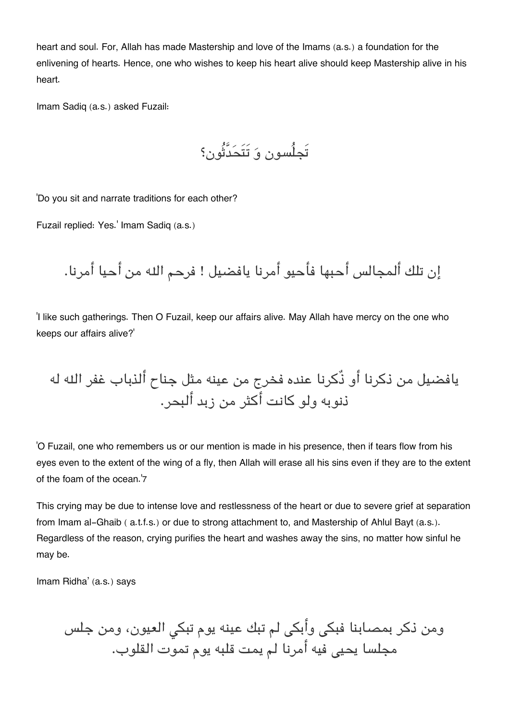heart and soul. For, Allah has made Mastership and love of the Imams (a.s.) a foundation for the enlivening of hearts. Hence, one who wishes to keep his heart alive should keep Mastership alive in his heart.

Imam Sadiq (a.s.) asked Fuzail:

تَجلُسون و تَتَحدَّثُون؟

'Do you sit and narrate traditions for each other?

Fuzail replied: Yes.' Imam Sadiq (a.s.)

إن تلك ألمجالس أحبها فأحيو أمرنا يافضيل ! فرحم اله من أحيا أمرنا.

'I like such gatherings. Then O Fuzail, keep our affairs alive. May Allah have mercy on the one who keeps our affairs alive?'

يافضيل من ذكرنا أو ذٌكرنا عنده فخرج من عينه مثل جناح ألذباب غفر اله له ذنوبه ولو كانت أكثر من زبد ألبحر.

'O Fuzail, one who remembers us or our mention is made in his presence, then if tears flow from his eyes even to the extent of the wing of a fly, then Allah will erase all his sins even if they are to the extent of the foam of the ocean.'[7](#page--1-0)

This crying may be due to intense love and restlessness of the heart or due to severe grief at separation from Imam al-Ghaib ( a.t.f.s.) or due to strong attachment to, and Mastership of Ahlul Bayt (a.s.). Regardless of the reason, crying purifies the heart and washes away the sins, no matter how sinful he may be.

Imam Ridha' (a.s.) says

ومن ذكر بمصابنا فبكى وأبكى لم تبك عينه يوم تبكى العيون، ومن جلس مجلسا يحي فيه أمرنا لم يمت قلبه يوم تموت القلوب.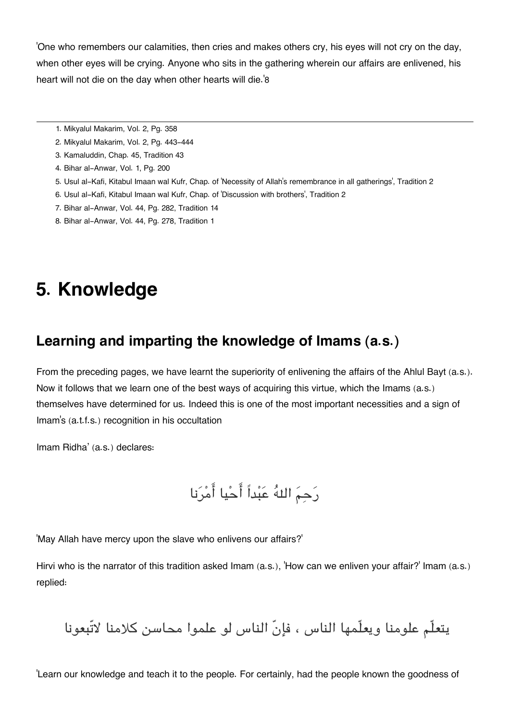'One who remembers our calamities, then cries and makes others cry, his eyes will not cry on the day, when other eyes will be crying. Anyone who sits in the gathering wherein our affairs are enlivened, his heart will not die on the day when other hearts will die.'[8](#page--1-0)

- [1.](#page--1-0) Mikyalul Makarim, Vol. 2, Pg. 358
- [2.](#page--1-0) Mikyalul Makarim, Vol. 2, Pg. 443-444
- [3.](#page--1-0) Kamaluddin, Chap. 45, Tradition 43
- [4.](#page--1-0) Bihar al-Anwar, Vol. 1, Pg. 200
- [5.](#page--1-0) Usul al-Kafi, Kitabul Imaan wal Kufr, Chap. of 'Necessity of Allah's remembrance in all gatherings', Tradition 2
- [6.](#page--1-0) Usul al-Kafi, Kitabul Imaan wal Kufr, Chap. of 'Discussion with brothers', Tradition 2
- [7.](#page--1-0) Bihar al-Anwar, Vol. 44, Pg. 282, Tradition 14
- [8.](#page--1-0) Bihar al-Anwar, Vol. 44, Pg. 278, Tradition 1

## **5. Knowledge**

### **[Learning and imparting the knowledge of Imams \(a.s.\)](#page--1-0)**

From the preceding pages, we have learnt the superiority of enlivening the affairs of the Ahlul Bayt (a.s.). Now it follows that we learn one of the best ways of acquiring this virtue, which the Imams (a.s.) themselves have determined for us. Indeed this is one of the most important necessities and a sign of Imam's (a.t.f.s.) recognition in his occultation

Imam Ridha' (a.s.) declares:

رَحِمَ اللهُ عَبْداً أَحْيا أَمْرَنا

'May Allah have mercy upon the slave who enlivens our affairs?'

Hirvi who is the narrator of this tradition asked Imam (a.s.), 'How can we enliven your affair?' Imam (a.s.) replied:

يتعلّم علومنا ويعلّمها الناس ، فإنّ الناس لو علموا محاسن كلامنا لاتّبعونا

'Learn our knowledge and teach it to the people. For certainly, had the people known the goodness of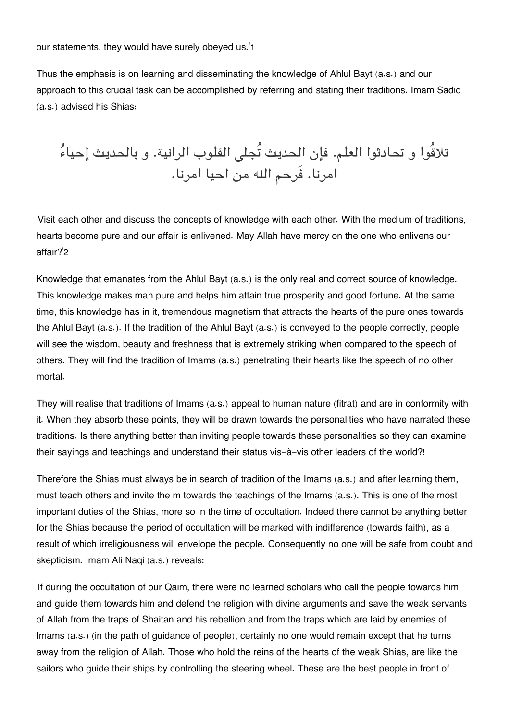our statements, they would have surely obeyed us.'[1](#page--1-0)

Thus the emphasis is on learning and disseminating the knowledge of Ahlul Bayt (a.s.) and our approach to this crucial task can be accomplished by referring and stating their traditions. Imam Sadiq (a.s.) advised his Shias:

تلاقُوا و تحادثوا العلم. فإن الحديث تُجل القلوب الرانية. و بالحديث إحياء امرنا. فَرحم اله من احيا امرنا.

'Visit each other and discuss the concepts of knowledge with each other. With the medium of traditions, hearts become pure and our affair is enlivened. May Allah have mercy on the one who enlivens our affair?'[2](#page--1-0)

Knowledge that emanates from the Ahlul Bayt (a.s.) is the only real and correct source of knowledge. This knowledge makes man pure and helps him attain true prosperity and good fortune. At the same time, this knowledge has in it, tremendous magnetism that attracts the hearts of the pure ones towards the Ahlul Bayt (a.s.). If the tradition of the Ahlul Bayt (a.s.) is conveyed to the people correctly, people will see the wisdom, beauty and freshness that is extremely striking when compared to the speech of others. They will find the tradition of Imams (a.s.) penetrating their hearts like the speech of no other mortal.

They will realise that traditions of Imams (a.s.) appeal to human nature (fitrat) and are in conformity with it. When they absorb these points, they will be drawn towards the personalities who have narrated these traditions. Is there anything better than inviting people towards these personalities so they can examine their sayings and teachings and understand their status vis-à-vis other leaders of the world?!

Therefore the Shias must always be in search of tradition of the Imams (a.s.) and after learning them, must teach others and invite the m towards the teachings of the Imams (a.s.). This is one of the most important duties of the Shias, more so in the time of occultation. Indeed there cannot be anything better for the Shias because the period of occultation will be marked with indifference (towards faith), as a result of which irreligiousness will envelope the people. Consequently no one will be safe from doubt and skepticism. Imam Ali Naqi (a.s.) reveals:

'If during the occultation of our Qaim, there were no learned scholars who call the people towards him and guide them towards him and defend the religion with divine arguments and save the weak servants of Allah from the traps of Shaitan and his rebellion and from the traps which are laid by enemies of Imams (a.s.) (in the path of guidance of people), certainly no one would remain except that he turns away from the religion of Allah. Those who hold the reins of the hearts of the weak Shias, are like the sailors who guide their ships by controlling the steering wheel. These are the best people in front of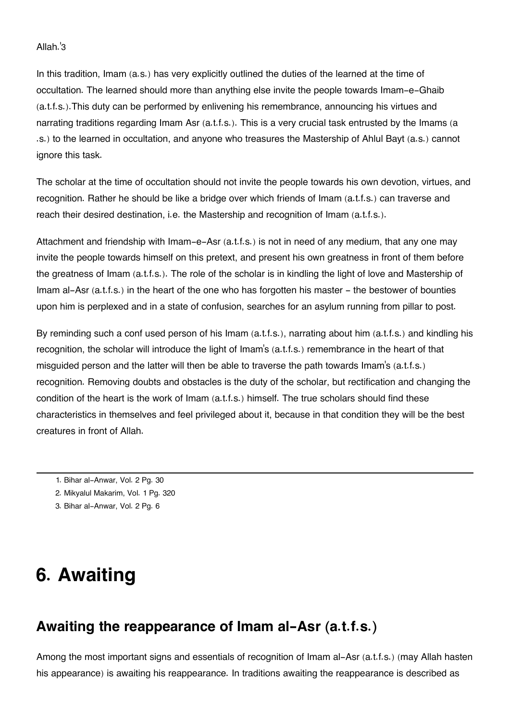#### Allah.'[3](#page--1-0)

In this tradition, Imam (a.s.) has very explicitly outlined the duties of the learned at the time of occultation. The learned should more than anything else invite the people towards Imam-e-Ghaib (a.t.f.s.).This duty can be performed by enlivening his remembrance, announcing his virtues and narrating traditions regarding Imam Asr (a.t.f.s.). This is a very crucial task entrusted by the Imams (a .s.) to the learned in occultation, and anyone who treasures the Mastership of Ahlul Bayt (a.s.) cannot ignore this task.

The scholar at the time of occultation should not invite the people towards his own devotion, virtues, and recognition. Rather he should be like a bridge over which friends of Imam (a.t.f.s.) can traverse and reach their desired destination, i.e. the Mastership and recognition of Imam (a.t.f.s.).

Attachment and friendship with Imam-e-Asr (a.t.f.s.) is not in need of any medium, that any one may invite the people towards himself on this pretext, and present his own greatness in front of them before the greatness of Imam (a.t.f.s.). The role of the scholar is in kindling the light of love and Mastership of Imam al-Asr (a.t.f.s.) in the heart of the one who has forgotten his master - the bestower of bounties upon him is perplexed and in a state of confusion, searches for an asylum running from pillar to post.

By reminding such a conf used person of his Imam (a.t.f.s.), narrating about him (a.t.f.s.) and kindling his recognition, the scholar will introduce the light of Imam's (a.t.f.s.) remembrance in the heart of that misguided person and the latter will then be able to traverse the path towards Imam's (a.t.f.s.) recognition. Removing doubts and obstacles is the duty of the scholar, but rectification and changing the condition of the heart is the work of Imam (a.t.f.s.) himself. The true scholars should find these characteristics in themselves and feel privileged about it, because in that condition they will be the best creatures in front of Allah.

- [1.](#page--1-0) Bihar al-Anwar, Vol. 2 Pg. 30
- [2.](#page--1-0) Mikyalul Makarim, Vol. 1 Pg. 320
- [3.](#page--1-0) Bihar al-Anwar, Vol. 2 Pg. 6

## **6. Awaiting**

### **[Awaiting the reappearance of Imam al-Asr \(a.t.f.s.\)](#page--1-0)**

Among the most important signs and essentials of recognition of Imam al-Asr (a.t.f.s.) (may Allah hasten his appearance) is awaiting his reappearance. In traditions awaiting the reappearance is described as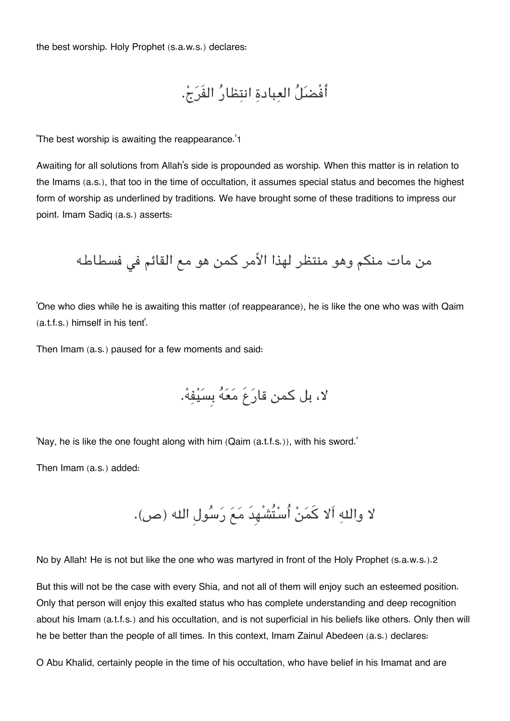the best worship. Holy Prophet (s.a.w.s.) declares:

أفْضل العبادة انتظار الفَرج.

'The best worship is awaiting the reappearance.'[1](#page--1-0)

Awaiting for all solutions from Allah's side is propounded as worship. When this matter is in relation to the Imams (a.s.), that too in the time of occultation, it assumes special status and becomes the highest form of worship as underlined by traditions. We have brought some of these traditions to impress our point. Imam Sadiq (a.s.) asserts:

من مات منكم وهو منتظر لهذا الأمر كمن هو مع القائم فى فسطاطه

'One who dies while he is awaiting this matter (of reappearance), he is like the one who was with Qaim (a.t.f.s.) himself in his tent'.

Then Imam (a.s.) paused for a few moments and said:

لا، بل كمن قارَعَ مَعَهُ بِسَيْفِهْ.

'Nay, he is like the one fought along with him (Qaim (a.t.f.s.)), with his sword.'

Then Imam (a.s.) added:

لا واله اَلا كمن اُستُشْهِدَ مع رسولِ اله (ص).

No by Allah! He is not but like the one who was martyred in front of the Holy Prophet (s.a.w.s.).[2](#page--1-0)

But this will not be the case with every Shia, and not all of them will enjoy such an esteemed position. Only that person will enjoy this exalted status who has complete understanding and deep recognition about his Imam (a.t.f.s.) and his occultation, and is not superficial in his beliefs like others. Only then will he be better than the people of all times. In this context, Imam Zainul Abedeen (a.s.) declares:

O Abu Khalid, certainly people in the time of his occultation, who have belief in his Imamat and are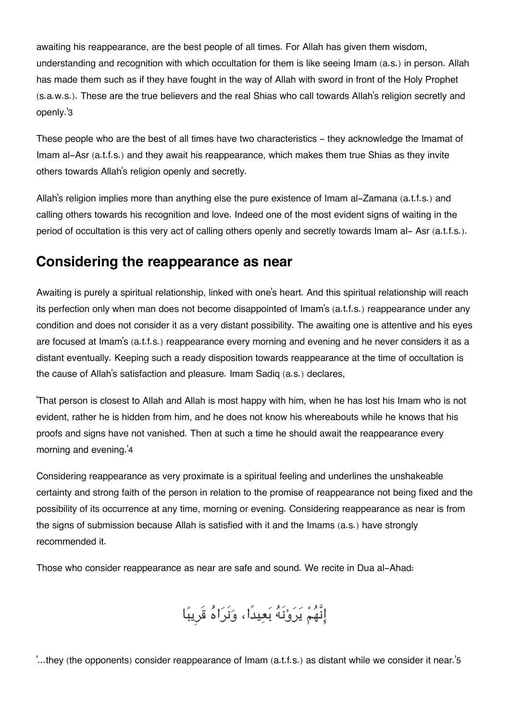awaiting his reappearance, are the best people of all times. For Allah has given them wisdom, understanding and recognition with which occultation for them is like seeing Imam (a.s.) in person. Allah has made them such as if they have fought in the way of Allah with sword in front of the Holy Prophet (s.a.w.s.). These are the true believers and the real Shias who call towards Allah's religion secretly and openly.'[3](#page--1-0)

These people who are the best of all times have two characteristics - they acknowledge the Imamat of Imam al-Asr (a.t.f.s.) and they await his reappearance, which makes them true Shias as they invite others towards Allah's religion openly and secretly.

Allah's religion implies more than anything else the pure existence of Imam al-Zamana (a.t.f.s.) and calling others towards his recognition and love. Indeed one of the most evident signs of waiting in the period of occultation is this very act of calling others openly and secretly towards Imam al- Asr (a.t.f.s.).

### **[Considering the reappearance as near](#page--1-0)**

Awaiting is purely a spiritual relationship, linked with one's heart. And this spiritual relationship will reach its perfection only when man does not become disappointed of Imam's (a.t.f.s.) reappearance under any condition and does not consider it as a very distant possibility. The awaiting one is attentive and his eyes are focused at Imam's (a.t.f.s.) reappearance every morning and evening and he never considers it as a distant eventually. Keeping such a ready disposition towards reappearance at the time of occultation is the cause of Allah's satisfaction and pleasure. Imam Sadiq (a.s.) declares,

'That person is closest to Allah and Allah is most happy with him, when he has lost his Imam who is not evident, rather he is hidden from him, and he does not know his whereabouts while he knows that his proofs and signs have not vanished. Then at such a time he should await the reappearance every morning and evening.'[4](#page--1-0)

Considering reappearance as very proximate is a spiritual feeling and underlines the unshakeable certainty and strong faith of the person in relation to the promise of reappearance not being fixed and the possibility of its occurrence at any time, morning or evening. Considering reappearance as near is from the signs of submission because Allah is satisfied with it and the Imams (a.s.) have strongly recommended it.

Those who consider reappearance as near are safe and sound. We recite in Dua al-Ahad:

إِنَّهُمْ يَرَوْنَهُ بَعِيدًا، وَنَرَاهُ قَرِيبًا

'...they (the opponents) consider reappearance of Imam (a.t.f.s.) as distant while we consider it near.'[5](#page--1-0)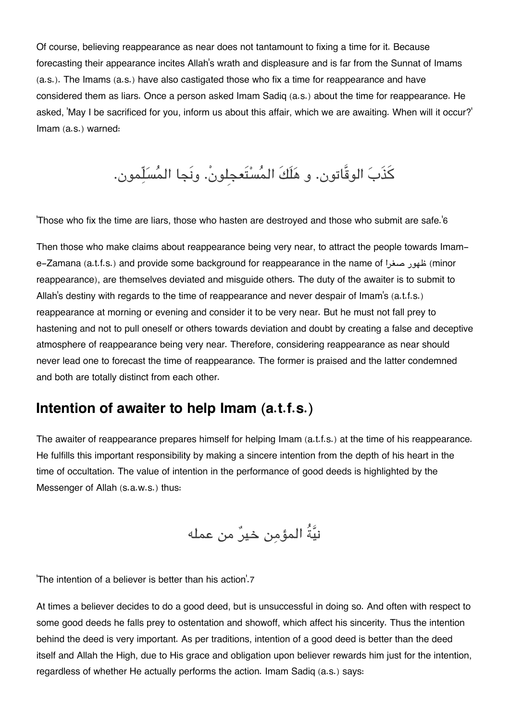Of course, believing reappearance as near does not tantamount to fixing a time for it. Because forecasting their appearance incites Allah's wrath and displeasure and is far from the Sunnat of Imams (a.s.). The Imams (a.s.) have also castigated those who fix a time for reappearance and have considered them as liars. Once a person asked Imam Sadiq (a.s.) about the time for reappearance. He asked, 'May I be sacrificed for you, inform us about this affair, which we are awaiting. When will it occur?' Imam (a.s.) warned:

كذَب الوقَّاتون. و هلَكَ المستَعجِلون.ْ ونَجا المسلّمون.

'Those who fix the time are liars, those who hasten are destroyed and those who submit are safe.'[6](#page--1-0)

Then those who make claims about reappearance being very near, to attract the people towards Imame-Zamana (a.t.f.s.) and provide some background for reappearance in the name of صغرا ظهور) minor reappearance), are themselves deviated and misguide others. The duty of the awaiter is to submit to Allah's destiny with regards to the time of reappearance and never despair of Imam's (a.t.f.s.) reappearance at morning or evening and consider it to be very near. But he must not fall prey to hastening and not to pull oneself or others towards deviation and doubt by creating a false and deceptive atmosphere of reappearance being very near. Therefore, considering reappearance as near should never lead one to forecast the time of reappearance. The former is praised and the latter condemned and both are totally distinct from each other.

### **[Intention of awaiter to help Imam \(a.t.f.s.\)](#page--1-0)**

The awaiter of reappearance prepares himself for helping Imam (a.t.f.s.) at the time of his reappearance. He fulfills this important responsibility by making a sincere intention from the depth of his heart in the time of occultation. The value of intention in the performance of good deeds is highlighted by the Messenger of Allah (s.a.w.s.) thus:

نيةُ المؤمن خير من عمله

'The intention of a believer is better than his action'.[7](#page--1-0)

At times a believer decides to do a good deed, but is unsuccessful in doing so. And often with respect to some good deeds he falls prey to ostentation and showoff, which affect his sincerity. Thus the intention behind the deed is very important. As per traditions, intention of a good deed is better than the deed itself and Allah the High, due to His grace and obligation upon believer rewards him just for the intention, regardless of whether He actually performs the action. Imam Sadiq (a.s.) says: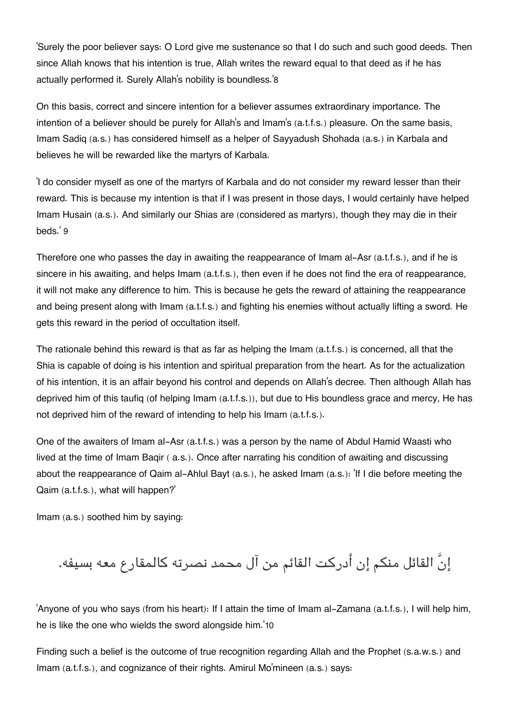'Surely the poor believer says: O Lord give me sustenance so that I do such and such good deeds. Then since Allah knows that his intention is true, Allah writes the reward equal to that deed as if he has actually performed it. Surely Allah's nobility is boundless.'[8](#page--1-0)

On this basis, correct and sincere intention for a believer assumes extraordinary importance. The intention of a believer should be purely for Allah's and Imam's (a.t.f.s.) pleasure. On the same basis, Imam Sadiq (a.s.) has considered himself as a helper of Sayyadush Shohada (a.s.) in Karbala and believes he will be rewarded like the martyrs of Karbala.

'I do consider myself as one of the martyrs of Karbala and do not consider my reward lesser than their reward. This is because my intention is that if I was present in those days, I would certainly have helped Imam Husain (a.s.). And similarly our Shias are (considered as martyrs), though they may die in their beds.' [9](#page--1-0)

Therefore one who passes the day in awaiting the reappearance of Imam al-Asr (a.t.f.s.), and if he is sincere in his awaiting, and helps Imam (a.t.f.s.), then even if he does not find the era of reappearance, it will not make any difference to him. This is because he gets the reward of attaining the reappearance and being present along with Imam (a.t.f.s.) and fighting his enemies without actually lifting a sword. He gets this reward in the period of occultation itself.

The rationale behind this reward is that as far as helping the Imam (a.t.f.s.) is concerned, all that the Shia is capable of doing is his intention and spiritual preparation from the heart. As for the actualization of his intention, it is an affair beyond his control and depends on Allah's decree. Then although Allah has deprived him of this taufiq (of helping Imam (a.t.f.s.)), but due to His boundless grace and mercy, He has not deprived him of the reward of intending to help his Imam (a.t.f.s.).

One of the awaiters of Imam al-Asr (a.t.f.s.) was a person by the name of Abdul Hamid Waasti who lived at the time of Imam Baqir ( a.s.). Once after narrating his condition of awaiting and discussing about the reappearance of Qaim al-Ahlul Bayt (a.s.), he asked Imam (a.s.): 'If I die before meeting the Qaim (a.t.f.s.), what will happen?'

Imam (a.s.) soothed him by saying:

إنَّ القائل منم إن أدركت القائم من آل محمد نصرته كالمقارع معه بسيفه.

'Anyone of you who says (from his heart): If I attain the time of Imam al-Zamana (a.t.f.s.), I will help him, he is like the one who wields the sword alongside him.'[10](#page--1-0)

Finding such a belief is the outcome of true recognition regarding Allah and the Prophet (s.a.w.s.) and Imam (a.t.f.s.), and cognizance of their rights. Amirul Mo'mineen (a.s.) says: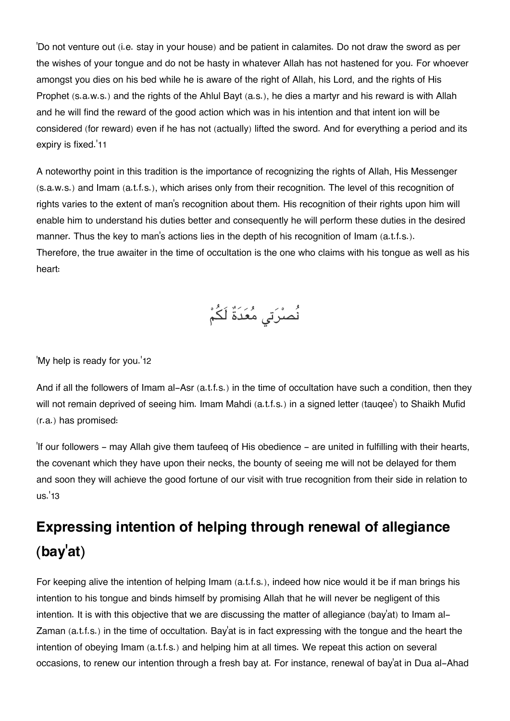'Do not venture out (i.e. stay in your house) and be patient in calamites. Do not draw the sword as per the wishes of your tongue and do not be hasty in whatever Allah has not hastened for you. For whoever amongst you dies on his bed while he is aware of the right of Allah, his Lord, and the rights of His Prophet (s.a.w.s.) and the rights of the Ahlul Bayt (a.s.), he dies a martyr and his reward is with Allah and he will find the reward of the good action which was in his intention and that intent ion will be considered (for reward) even if he has not (actually) lifted the sword. And for everything a period and its expiry is fixed.'[11](#page--1-0)

A noteworthy point in this tradition is the importance of recognizing the rights of Allah, His Messenger (s.a.w.s.) and Imam (a.t.f.s.), which arises only from their recognition. The level of this recognition of rights varies to the extent of man's recognition about them. His recognition of their rights upon him will enable him to understand his duties better and consequently he will perform these duties in the desired manner. Thus the key to man's actions lies in the depth of his recognition of Imam (a.t.f.s.). Therefore, the true awaiter in the time of occultation is the one who claims with his tongue as well as his heart:

نُصرْتي مُعَدَةٌ لَكُمْ

'My help is ready for you.'[12](#page--1-0)

And if all the followers of Imam al-Asr (a.t.f.s.) in the time of occultation have such a condition, then they will not remain deprived of seeing him. Imam Mahdi (a.t.f.s.) in a signed letter (tauqee') to Shaikh Mufid (r.a.) has promised:

'If our followers - may Allah give them taufeeq of His obedience - are united in fulfilling with their hearts, the covenant which they have upon their necks, the bounty of seeing me will not be delayed for them and soon they will achieve the good fortune of our visit with true recognition from their side in relation to us.'[13](#page--1-0)

## **[Expressing intention of helping through renewal of allegiance](#page--1-0) [\(bay](#page--1-0)'at)**

For keeping alive the intention of helping Imam (a.t.f.s.), indeed how nice would it be if man brings his intention to his tongue and binds himself by promising Allah that he will never be negligent of this intention. It is with this objective that we are discussing the matter of allegiance (bay'at) to Imam al-Zaman (a.t.f.s.) in the time of occultation. Bay'at is in fact expressing with the tongue and the heart the intention of obeying Imam (a.t.f.s.) and helping him at all times. We repeat this action on several occasions, to renew our intention through a fresh bay at. For instance, renewal of bay'at in Dua al-Ahad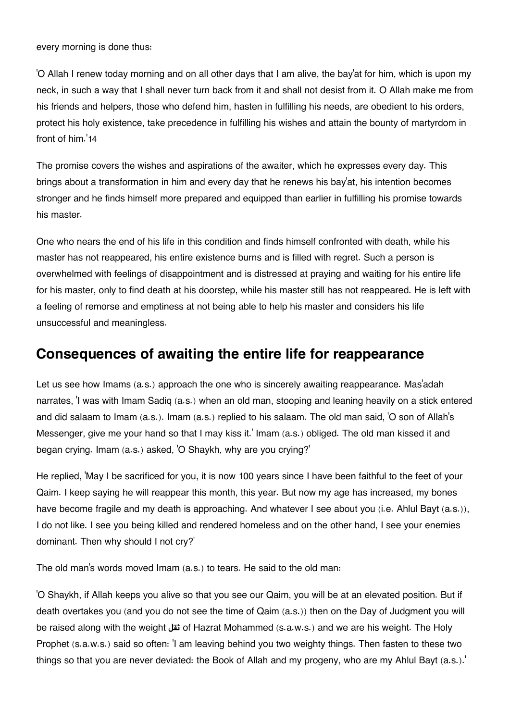every morning is done thus:

'O Allah I renew today morning and on all other days that I am alive, the bay'at for him, which is upon my neck, in such a way that I shall never turn back from it and shall not desist from it. O Allah make me from his friends and helpers, those who defend him, hasten in fulfilling his needs, are obedient to his orders, protect his holy existence, take precedence in fulfilling his wishes and attain the bounty of martyrdom in front of him.'[14](#page--1-0)

The promise covers the wishes and aspirations of the awaiter, which he expresses every day. This brings about a transformation in him and every day that he renews his bay'at, his intention becomes stronger and he finds himself more prepared and equipped than earlier in fulfilling his promise towards his master.

One who nears the end of his life in this condition and finds himself confronted with death, while his master has not reappeared, his entire existence burns and is filled with regret. Such a person is overwhelmed with feelings of disappointment and is distressed at praying and waiting for his entire life for his master, only to find death at his doorstep, while his master still has not reappeared. He is left with a feeling of remorse and emptiness at not being able to help his master and considers his life unsuccessful and meaningless.

### **[Consequences of awaiting the entire life for reappearance](#page--1-0)**

Let us see how Imams (a.s.) approach the one who is sincerely awaiting reappearance. Mas'adah narrates, 'I was with Imam Sadiq (a.s.) when an old man, stooping and leaning heavily on a stick entered and did salaam to Imam (a.s.). Imam (a.s.) replied to his salaam. The old man said, 'O son of Allah's Messenger, give me your hand so that I may kiss it.' Imam (a.s.) obliged. The old man kissed it and began crying. Imam (a.s.) asked, 'O Shaykh, why are you crying?'

He replied, 'May I be sacrificed for you, it is now 100 years since I have been faithful to the feet of your Qaim. I keep saying he will reappear this month, this year. But now my age has increased, my bones have become fragile and my death is approaching. And whatever I see about you (i.e. Ahlul Bayt (a.s.)), I do not like. I see you being killed and rendered homeless and on the other hand, I see your enemies dominant. Then why should I not cry?'

The old man's words moved Imam (a.s.) to tears. He said to the old man:

'O Shaykh, if Allah keeps you alive so that you see our Qaim, you will be at an elevated position. But if death overtakes you (and you do not see the time of Qaim (a.s.)) then on the Day of Judgment you will be raised along with the weight **ثقل** of Hazrat Mohammed (s.a.w.s.) and we are his weight. The Holy Prophet (s.a.w.s.) said so often: 'I am leaving behind you two weighty things. Then fasten to these two things so that you are never deviated: the Book of Allah and my progeny, who are my Ahlul Bayt (a.s.).'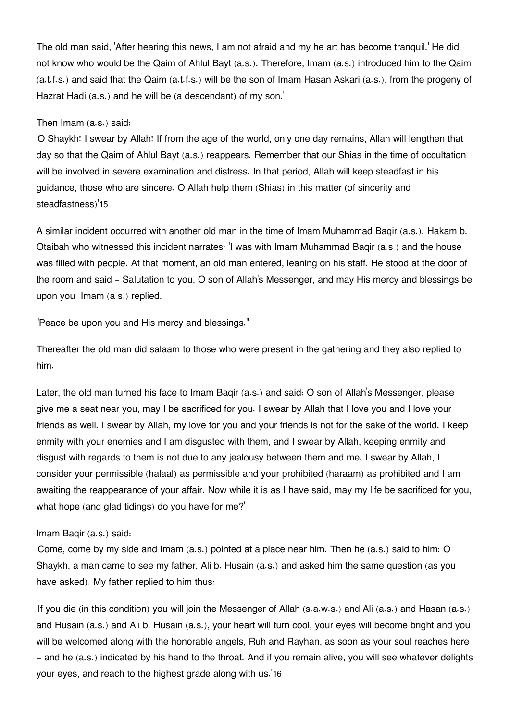The old man said, 'After hearing this news, I am not afraid and my he art has become tranquil.' He did not know who would be the Qaim of Ahlul Bayt (a.s.). Therefore, Imam (a.s.) introduced him to the Qaim (a.t.f.s.) and said that the Qaim (a.t.f.s.) will be the son of Imam Hasan Askari (a.s.), from the progeny of Hazrat Hadi (a.s.) and he will be (a descendant) of my son.'

#### Then Imam (a.s.) said:

'O Shaykh! I swear by Allah! If from the age of the world, only one day remains, Allah will lengthen that day so that the Qaim of Ahlul Bayt (a.s.) reappears. Remember that our Shias in the time of occultation will be involved in severe examination and distress. In that period, Allah will keep steadfast in his guidance, those who are sincere. O Allah help them (Shias) in this matter (of sincerity and steadfastness)'[15](#page--1-0)

A similar incident occurred with another old man in the time of Imam Muhammad Baqir (a.s.). Hakam b. Otaibah who witnessed this incident narrates: 'I was with Imam Muhammad Baqir (a.s.) and the house was filled with people. At that moment, an old man entered, leaning on his staff. He stood at the door of the room and said - Salutation to you, O son of Allah's Messenger, and may His mercy and blessings be upon you. Imam (a.s.) replied,

"Peace be upon you and His mercy and blessings."

Thereafter the old man did salaam to those who were present in the gathering and they also replied to him.

Later, the old man turned his face to Imam Baqir (a.s.) and said: O son of Allah's Messenger, please give me a seat near you, may I be sacrificed for you. I swear by Allah that I love you and I love your friends as well. I swear by Allah, my love for you and your friends is not for the sake of the world. I keep enmity with your enemies and I am disgusted with them, and I swear by Allah, keeping enmity and disgust with regards to them is not due to any jealousy between them and me. I swear by Allah, I consider your permissible (halaal) as permissible and your prohibited (haraam) as prohibited and I am awaiting the reappearance of your affair. Now while it is as I have said, may my life be sacrificed for you, what hope (and glad tidings) do you have for me?'

#### Imam Baqir (a.s.) said:

'Come, come by my side and Imam (a.s.) pointed at a place near him. Then he (a.s.) said to him: O Shaykh, a man came to see my father, Ali b. Husain (a.s.) and asked him the same question (as you have asked). My father replied to him thus:

'If you die (in this condition) you will join the Messenger of Allah (s.a.w.s.) and Ali (a.s.) and Hasan (a.s.) and Husain (a.s.) and Ali b. Husain (a.s.), your heart will turn cool, your eyes will become bright and you will be welcomed along with the honorable angels, Ruh and Rayhan, as soon as your soul reaches here - and he (a.s.) indicated by his hand to the throat. And if you remain alive, you will see whatever delights your eyes, and reach to the highest grade along with us.'[16](#page--1-0)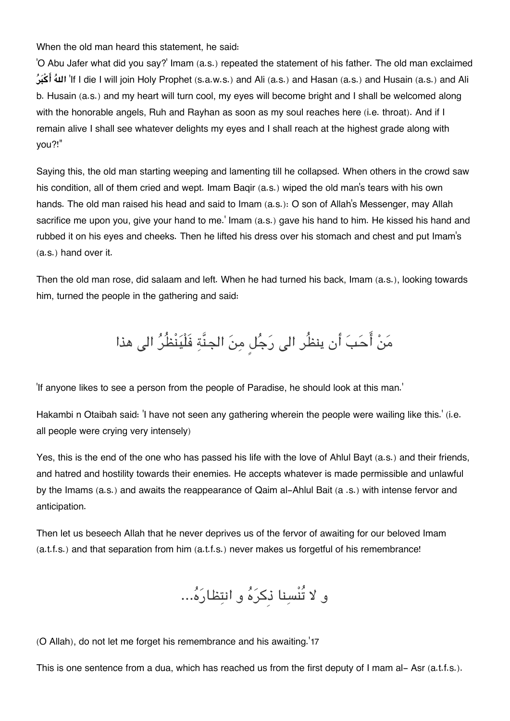When the old man heard this statement, he said:

'O Abu Jafer what did you say?' Imam (a.s.) repeated the statement of his father. The old man exclaimed **ربكا هال**' If I die I will join Holy Prophet (s.a.w.s.) and Ali (a.s.) and Hasan (a.s.) and Husain (a.s.) and Ali b. Husain (a.s.) and my heart will turn cool, my eyes will become bright and I shall be welcomed along with the honorable angels, Ruh and Rayhan as soon as my soul reaches here (i.e. throat). And if I remain alive I shall see whatever delights my eyes and I shall reach at the highest grade along with you?!"

Saying this, the old man starting weeping and lamenting till he collapsed. When others in the crowd saw his condition, all of them cried and wept. Imam Baqir (a.s.) wiped the old man's tears with his own hands. The old man raised his head and said to Imam (a.s.): O son of Allah's Messenger, may Allah sacrifice me upon you, give your hand to me.' Imam (a.s.) gave his hand to him. He kissed his hand and rubbed it on his eyes and cheeks. Then he lifted his dress over his stomach and chest and put Imam's (a.s.) hand over it.

Then the old man rose, did salaam and left. When he had turned his back, Imam (a.s.), looking towards him, turned the people in the gathering and said:

مَنْ أَحَبَ أن ينظُر الى رَجُلٍ مِنَ الجنَّةِ فَلْيَنْظُرُ الى هذا

'If anyone likes to see a person from the people of Paradise, he should look at this man.'

Hakambi n Otaibah said: 'I have not seen any gathering wherein the people were wailing like this.' (i.e. all people were crying very intensely)

Yes, this is the end of the one who has passed his life with the love of Ahlul Bayt (a.s.) and their friends, and hatred and hostility towards their enemies. He accepts whatever is made permissible and unlawful by the Imams (a.s.) and awaits the reappearance of Qaim al-Ahlul Bait (a .s.) with intense fervor and anticipation.

Then let us beseech Allah that he never deprives us of the fervor of awaiting for our beloved Imam (a.t.f.s.) and that separation from him (a.t.f.s.) never makes us forgetful of his remembrance!

و لا تُنْسنا ذِكره و انتظاره...

(O Allah), do not let me forget his remembrance and his awaiting.'[17](#page--1-0)

This is one sentence from a dua, which has reached us from the first deputy of I mam al-Asr (a.t.f.s.).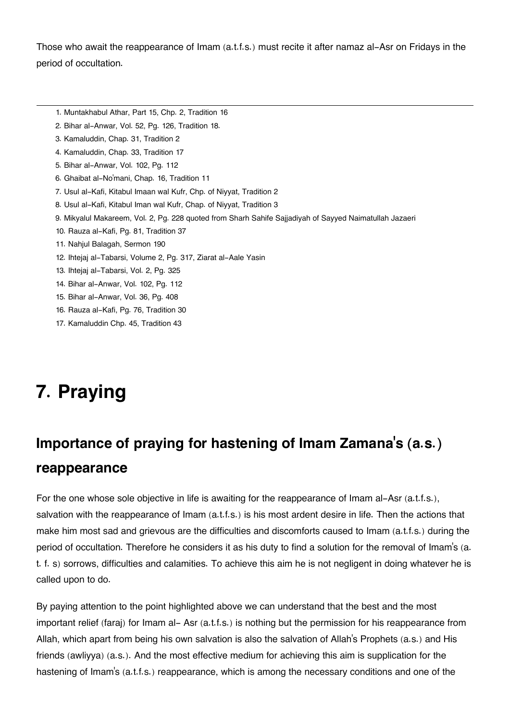Those who await the reappearance of Imam (a.t.f.s.) must recite it after namaz al-Asr on Fridays in the period of occultation.

- [1.](#page--1-0) Muntakhabul Athar, Part 15, Chp. 2, Tradition 16
- [2.](#page--1-0) Bihar al-Anwar, Vol. 52, Pg. 126, Tradition 18.
- [3.](#page--1-0) Kamaluddin, Chap. 31, Tradition 2
- [4.](#page--1-0) Kamaluddin, Chap. 33, Tradition 17
- [5.](#page--1-0) Bihar al-Anwar, Vol. 102, Pg. 112
- [6.](#page--1-0) Ghaibat al-No'mani, Chap. 16, Tradition 11
- [7.](#page--1-0) Usul al-Kafi, Kitabul Imaan wal Kufr, Chp. of Niyyat, Tradition 2
- [8.](#page--1-0) Usul al-Kafi, Kitabul Iman wal Kufr, Chap. of Niyyat, Tradition 3
- [9.](#page--1-0) Mikyalul Makareem, Vol. 2, Pg. 228 quoted from Sharh Sahife Sajjadiyah of Sayyed Naimatullah Jazaeri
- [10.](#page--1-0) Rauza al-Kafi, Pg. 81, Tradition 37
- [11.](#page--1-0) Nahjul Balagah, Sermon 190
- [12.](#page--1-0) Ihtejaj al-Tabarsi, Volume 2, Pg. 317, Ziarat al-Aale Yasin
- [13.](#page--1-0) Ihtejaj al-Tabarsi, Vol. 2, Pg. 325
- [14.](#page--1-0) Bihar al-Anwar, Vol. 102, Pg. 112
- [15.](#page--1-0) Bihar al-Anwar, Vol. 36, Pg. 408
- [16.](#page--1-0) Rauza al-Kafi, Pg. 76, Tradition 30
- [17.](#page--1-0) Kamaluddin Chp. 45, Tradition 43

# **7. Praying**

## **[Importance of praying for hastening of Imam Zamana](#page--1-0)'s (a.s.) [reappearance](#page--1-0)**

For the one whose sole objective in life is awaiting for the reappearance of Imam al-Asr (a.t.f.s.), salvation with the reappearance of Imam (a.t.f.s.) is his most ardent desire in life. Then the actions that make him most sad and grievous are the difficulties and discomforts caused to Imam (a.t.f.s.) during the period of occultation. Therefore he considers it as his duty to find a solution for the removal of Imam's (a. t. f. s) sorrows, difficulties and calamities. To achieve this aim he is not negligent in doing whatever he is called upon to do.

By paying attention to the point highlighted above we can understand that the best and the most important relief (faraj) for Imam al- Asr (a.t.f.s.) is nothing but the permission for his reappearance from Allah, which apart from being his own salvation is also the salvation of Allah's Prophets (a.s.) and His friends (awliyya) (a.s.). And the most effective medium for achieving this aim is supplication for the hastening of Imam's (a.t.f.s.) reappearance, which is among the necessary conditions and one of the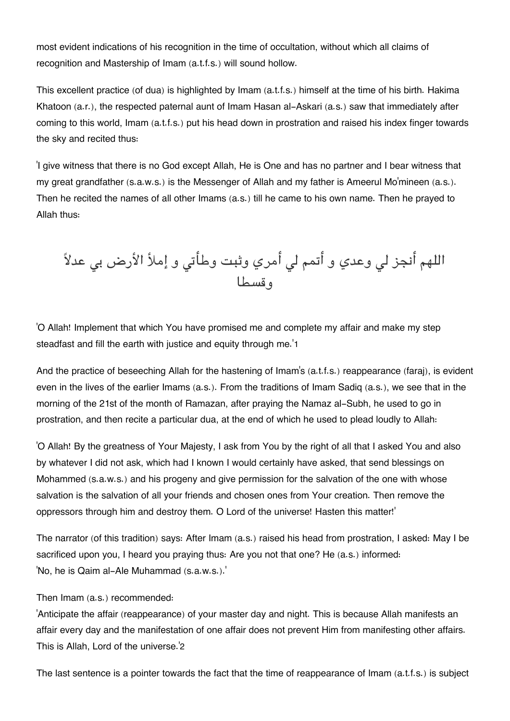most evident indications of his recognition in the time of occultation, without which all claims of recognition and Mastership of Imam (a.t.f.s.) will sound hollow.

This excellent practice (of dua) is highlighted by Imam (a.t.f.s.) himself at the time of his birth. Hakima Khatoon (a.r.), the respected paternal aunt of Imam Hasan al-Askari (a.s.) saw that immediately after coming to this world, Imam (a.t.f.s.) put his head down in prostration and raised his index finger towards the sky and recited thus:

'I give witness that there is no God except Allah, He is One and has no partner and I bear witness that my great grandfather (s.a.w.s.) is the Messenger of Allah and my father is Ameerul Mo'mineen (a.s.). Then he recited the names of all other Imams (a.s.) till he came to his own name. Then he prayed to Allah thus:

اللهم أنجز لي وعدي و أتمم لي أمري وثبت وطأتي و إملأ الأرض بي عدلاً وقسطا

'O Allah! Implement that which You have promised me and complete my affair and make my step steadfast and fill the earth with justice and equity through me.'[1](#page--1-0)

And the practice of beseeching Allah for the hastening of Imam's (a.t.f.s.) reappearance (faraj), is evident even in the lives of the earlier Imams (a.s.). From the traditions of Imam Sadiq (a.s.), we see that in the morning of the 21st of the month of Ramazan, after praying the Namaz al-Subh, he used to go in prostration, and then recite a particular dua, at the end of which he used to plead loudly to Allah:

'O Allah! By the greatness of Your Majesty, I ask from You by the right of all that I asked You and also by whatever I did not ask, which had I known I would certainly have asked, that send blessings on Mohammed (s.a.w.s.) and his progeny and give permission for the salvation of the one with whose salvation is the salvation of all your friends and chosen ones from Your creation. Then remove the oppressors through him and destroy them. O Lord of the universe! Hasten this matter!'

The narrator (of this tradition) says: After Imam (a.s.) raised his head from prostration, I asked: May I be sacrificed upon you, I heard you praying thus: Are you not that one? He (a.s.) informed: 'No, he is Qaim al-Ale Muhammad (s.a.w.s.).'

#### Then Imam (a.s.) recommended:

'Anticipate the affair (reappearance) of your master day and night. This is because Allah manifests an affair every day and the manifestation of one affair does not prevent Him from manifesting other affairs. This is Allah, Lord of the universe.'[2](#page--1-0)

The last sentence is a pointer towards the fact that the time of reappearance of Imam (a.t.f.s.) is subject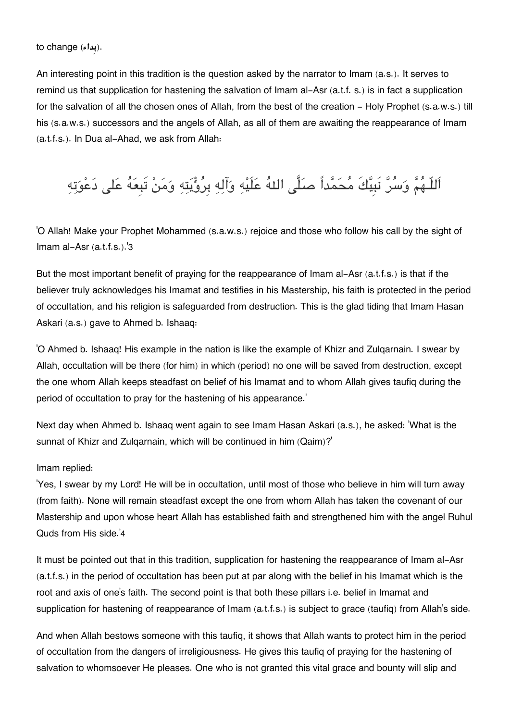.(**بِداء**) change to

An interesting point in this tradition is the question asked by the narrator to Imam (a.s.). It serves to remind us that supplication for hastening the salvation of Imam al-Asr (a.t.f. s.) is in fact a supplication for the salvation of all the chosen ones of Allah, from the best of the creation - Holy Prophet (s.a.w.s.) till his (s.a.w.s.) successors and the angels of Allah, as all of them are awaiting the reappearance of Imam (a.t.f.s.). In Dua al-Ahad, we ask from Allah:

اَللّـهُمَّ وَسُرَّ نَبِيَّكَ مُحَمَّداً صَلَّى اللهُ عَلَيْهِ وَآلِهِ بِرُؤْيَتِهِ وَمَنْ تَبِعَهُ عَلى دَعْوَتِهِ

'O Allah! Make your Prophet Mohammed (s.a.w.s.) rejoice and those who follow his call by the sight of Imam al-Asr (a.t.f.s.).'[3](#page--1-0)

But the most important benefit of praying for the reappearance of Imam al-Asr (a.t.f.s.) is that if the believer truly acknowledges his Imamat and testifies in his Mastership, his faith is protected in the period of occultation, and his religion is safeguarded from destruction. This is the glad tiding that Imam Hasan Askari (a.s.) gave to Ahmed b. Ishaaq:

'O Ahmed b. Ishaaq! His example in the nation is like the example of Khizr and Zulqarnain. I swear by Allah, occultation will be there (for him) in which (period) no one will be saved from destruction, except the one whom Allah keeps steadfast on belief of his Imamat and to whom Allah gives taufiq during the period of occultation to pray for the hastening of his appearance.'

Next day when Ahmed b. Ishaaq went again to see Imam Hasan Askari (a.s.), he asked: 'What is the sunnat of Khizr and Zulqarnain, which will be continued in him (Qaim)?'

#### Imam replied:

'Yes, I swear by my Lord! He will be in occultation, until most of those who believe in him will turn away (from faith). None will remain steadfast except the one from whom Allah has taken the covenant of our Mastership and upon whose heart Allah has established faith and strengthened him with the angel Ruhul Quds from His side.'[4](#page--1-0)

It must be pointed out that in this tradition, supplication for hastening the reappearance of Imam al-Asr (a.t.f.s.) in the period of occultation has been put at par along with the belief in his Imamat which is the root and axis of one's faith. The second point is that both these pillars i.e. belief in Imamat and supplication for hastening of reappearance of Imam (a.t.f.s.) is subject to grace (taufig) from Allah's side.

And when Allah bestows someone with this taufiq, it shows that Allah wants to protect him in the period of occultation from the dangers of irreligiousness. He gives this taufiq of praying for the hastening of salvation to whomsoever He pleases. One who is not granted this vital grace and bounty will slip and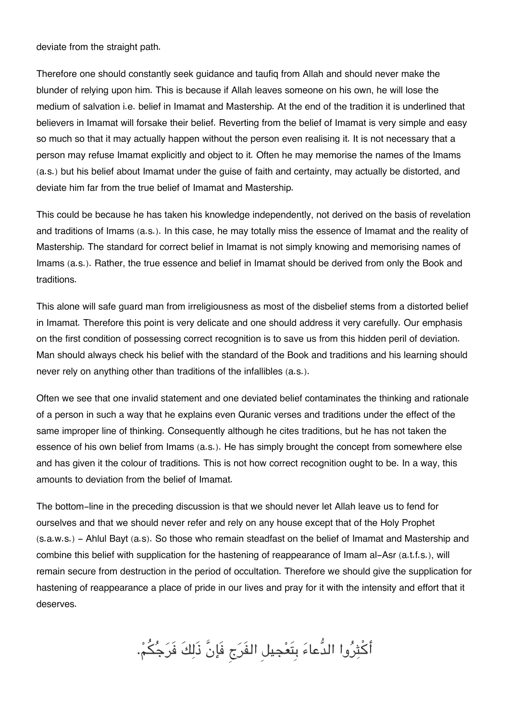deviate from the straight path.

Therefore one should constantly seek guidance and taufiq from Allah and should never make the blunder of relying upon him. This is because if Allah leaves someone on his own, he will lose the medium of salvation i.e. belief in Imamat and Mastership. At the end of the tradition it is underlined that believers in Imamat will forsake their belief. Reverting from the belief of Imamat is very simple and easy so much so that it may actually happen without the person even realising it. It is not necessary that a person may refuse Imamat explicitly and object to it. Often he may memorise the names of the Imams (a.s.) but his belief about Imamat under the guise of faith and certainty, may actually be distorted, and deviate him far from the true belief of Imamat and Mastership.

This could be because he has taken his knowledge independently, not derived on the basis of revelation and traditions of Imams (a.s.). In this case, he may totally miss the essence of Imamat and the reality of Mastership. The standard for correct belief in Imamat is not simply knowing and memorising names of Imams (a.s.). Rather, the true essence and belief in Imamat should be derived from only the Book and traditions.

This alone will safe guard man from irreligiousness as most of the disbelief stems from a distorted belief in Imamat. Therefore this point is very delicate and one should address it very carefully. Our emphasis on the first condition of possessing correct recognition is to save us from this hidden peril of deviation. Man should always check his belief with the standard of the Book and traditions and his learning should never rely on anything other than traditions of the infallibles (a.s.).

Often we see that one invalid statement and one deviated belief contaminates the thinking and rationale of a person in such a way that he explains even Quranic verses and traditions under the effect of the same improper line of thinking. Consequently although he cites traditions, but he has not taken the essence of his own belief from Imams (a.s.). He has simply brought the concept from somewhere else and has given it the colour of traditions. This is not how correct recognition ought to be. In a way, this amounts to deviation from the belief of Imamat.

The bottom-line in the preceding discussion is that we should never let Allah leave us to fend for ourselves and that we should never refer and rely on any house except that of the Holy Prophet (s.a.w.s.) - Ahlul Bayt (a.s). So those who remain steadfast on the belief of Imamat and Mastership and combine this belief with supplication for the hastening of reappearance of Imam al-Asr (a.t.f.s.), will remain secure from destruction in the period of occultation. Therefore we should give the supplication for hastening of reappearance a place of pride in our lives and pray for it with the intensity and effort that it deserves.

أكثروا الدُّعاء بِتَعجيل الفَرج فَإنَّ ذَلكَ فَرجم.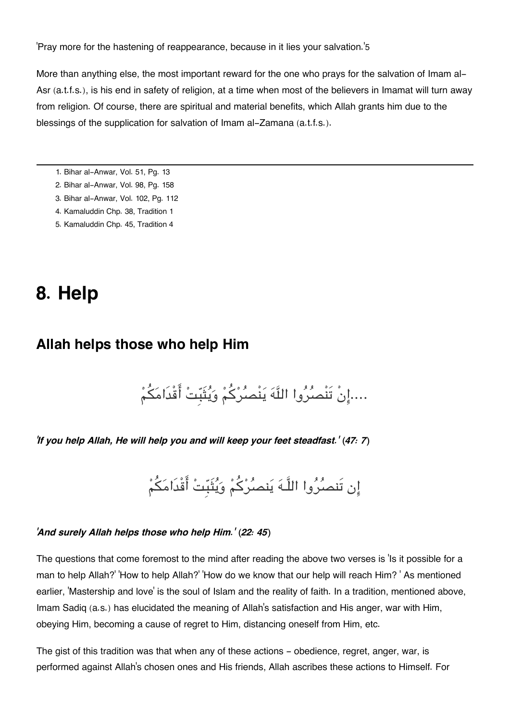'Pray more for the hastening of reappearance, because in it lies your salvation.'[5](#page--1-0)

More than anything else, the most important reward for the one who prays for the salvation of Imam al-Asr (a.t.f.s.), is his end in safety of religion, at a time when most of the believers in Imamat will turn away from religion. Of course, there are spiritual and material benefits, which Allah grants him due to the blessings of the supplication for salvation of Imam al-Zamana (a.t.f.s.).

- [1.](#page--1-0) Bihar al-Anwar, Vol. 51, Pg. 13
- [2.](#page--1-0) Bihar al-Anwar, Vol. 98, Pg. 158
- [3.](#page--1-0) Bihar al-Anwar, Vol. 102, Pg. 112
- [4.](#page--1-0) Kamaluddin Chp. 38, Tradition 1
- [5.](#page--1-0) Kamaluddin Chp. 45, Tradition 4

## **8. Help**

### **[Allah helps those who help Him](#page--1-0)**

....إِنْ تَنْصُرُوا اللَّهَ يَنْصُرُكُمْ وَيُتَبِّتْ أَقْدَامَكُمْ

*'If you help Allah, He will help you and will keep your feet steadfast.' (47: 7)*

إن تَنصُرُوا اللَّـهَ يَنصُرْكُمْ وَيُثَبِّتْ أَقْدَامَكُمْ

#### *'And surely Allah helps those who help Him.' (22: 45)*

The questions that come foremost to the mind after reading the above two verses is 'Is it possible for a man to help Allah?' 'How to help Allah?' 'How do we know that our help will reach Him? ' As mentioned earlier, 'Mastership and love' is the soul of Islam and the reality of faith. In a tradition, mentioned above, Imam Sadiq (a.s.) has elucidated the meaning of Allah's satisfaction and His anger, war with Him, obeying Him, becoming a cause of regret to Him, distancing oneself from Him, etc.

The gist of this tradition was that when any of these actions - obedience, regret, anger, war, is performed against Allah's chosen ones and His friends, Allah ascribes these actions to Himself. For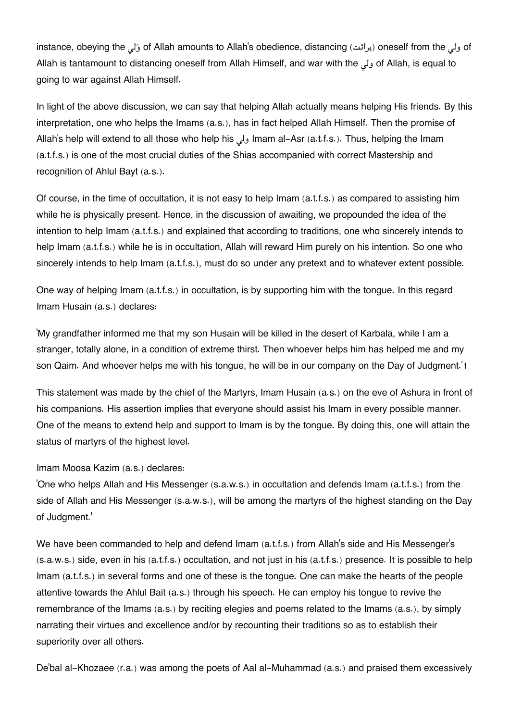instance, obeying the لولی of Allah amounts to Allah's obedience, distancing (برائت) oneself from the ولی of Allah is tantamount to distancing oneself from Allah Himself, and war with the ول of Allah, is equal to going to war against Allah Himself.

In light of the above discussion, we can say that helping Allah actually means helping His friends. By this interpretation, one who helps the Imams (a.s.), has in fact helped Allah Himself. Then the promise of Allah's help will extend to all those who help his ولى Imam al-Asr (a.t.f.s.). Thus, helping the Imam (a.t.f.s.) is one of the most crucial duties of the Shias accompanied with correct Mastership and recognition of Ahlul Bayt (a.s.).

Of course, in the time of occultation, it is not easy to help Imam (a.t.f.s.) as compared to assisting him while he is physically present. Hence, in the discussion of awaiting, we propounded the idea of the intention to help Imam (a.t.f.s.) and explained that according to traditions, one who sincerely intends to help Imam (a.t.f.s.) while he is in occultation, Allah will reward Him purely on his intention. So one who sincerely intends to help Imam (a.t.f.s.), must do so under any pretext and to whatever extent possible.

One way of helping Imam (a.t.f.s.) in occultation, is by supporting him with the tongue. In this regard Imam Husain (a.s.) declares:

'My grandfather informed me that my son Husain will be killed in the desert of Karbala, while I am a stranger, totally alone, in a condition of extreme thirst. Then whoever helps him has helped me and my son Qaim. And whoever helps me with his tongue, he will be in our company on the Day of Judgment.'[1](#page--1-0)

This statement was made by the chief of the Martyrs, Imam Husain (a.s.) on the eve of Ashura in front of his companions. His assertion implies that everyone should assist his Imam in every possible manner. One of the means to extend help and support to Imam is by the tongue. By doing this, one will attain the status of martyrs of the highest level.

#### Imam Moosa Kazim (a.s.) declares:

'One who helps Allah and His Messenger (s.a.w.s.) in occultation and defends Imam (a.t.f.s.) from the side of Allah and His Messenger (s.a.w.s.), will be among the martyrs of the highest standing on the Day of Judgment.'

We have been commanded to help and defend Imam (a.t.f.s.) from Allah's side and His Messenger's (s.a.w.s.) side, even in his (a.t.f.s.) occultation, and not just in his (a.t.f.s.) presence. It is possible to help Imam (a.t.f.s.) in several forms and one of these is the tongue. One can make the hearts of the people attentive towards the Ahlul Bait (a.s.) through his speech. He can employ his tongue to revive the remembrance of the Imams (a.s.) by reciting elegies and poems related to the Imams (a.s.), by simply narrating their virtues and excellence and/or by recounting their traditions so as to establish their superiority over all others.

De'bal al-Khozaee (r.a.) was among the poets of Aal al-Muhammad (a.s.) and praised them excessively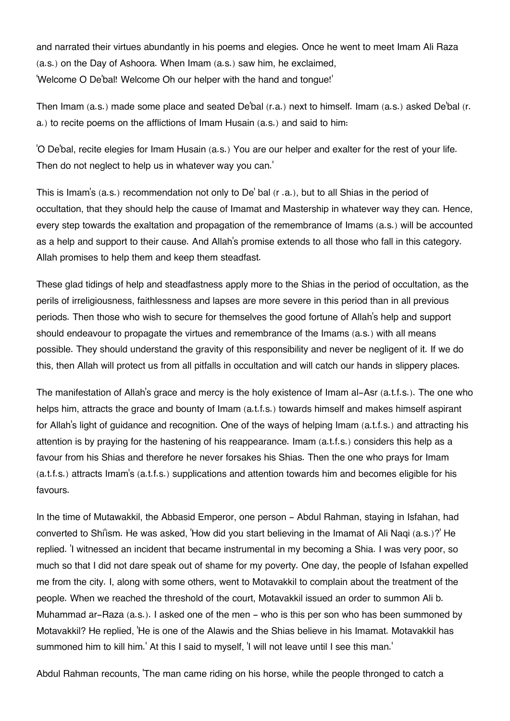and narrated their virtues abundantly in his poems and elegies. Once he went to meet Imam Ali Raza (a.s.) on the Day of Ashoora. When Imam (a.s.) saw him, he exclaimed, 'Welcome O De'bal! Welcome Oh our helper with the hand and tongue!'

Then Imam (a.s.) made some place and seated De'bal (r.a.) next to himself. Imam (a.s.) asked De'bal (r. a.) to recite poems on the afflictions of Imam Husain (a.s.) and said to him:

'O De'bal, recite elegies for Imam Husain (a.s.) You are our helper and exalter for the rest of your life. Then do not neglect to help us in whatever way you can.'

This is Imam's (a.s.) recommendation not only to De' bal (r .a.), but to all Shias in the period of occultation, that they should help the cause of Imamat and Mastership in whatever way they can. Hence, every step towards the exaltation and propagation of the remembrance of Imams (a.s.) will be accounted as a help and support to their cause. And Allah's promise extends to all those who fall in this category. Allah promises to help them and keep them steadfast.

These glad tidings of help and steadfastness apply more to the Shias in the period of occultation, as the perils of irreligiousness, faithlessness and lapses are more severe in this period than in all previous periods. Then those who wish to secure for themselves the good fortune of Allah's help and support should endeavour to propagate the virtues and remembrance of the Imams (a.s.) with all means possible. They should understand the gravity of this responsibility and never be negligent of it. If we do this, then Allah will protect us from all pitfalls in occultation and will catch our hands in slippery places.

The manifestation of Allah's grace and mercy is the holy existence of Imam al-Asr (a.t.f.s.). The one who helps him, attracts the grace and bounty of Imam (a.t.f.s.) towards himself and makes himself aspirant for Allah's light of guidance and recognition. One of the ways of helping Imam (a.t.f.s.) and attracting his attention is by praying for the hastening of his reappearance. Imam (a.t.f.s.) considers this help as a favour from his Shias and therefore he never forsakes his Shias. Then the one who prays for Imam (a.t.f.s.) attracts Imam's (a.t.f.s.) supplications and attention towards him and becomes eligible for his favours.

In the time of Mutawakkil, the Abbasid Emperor, one person - Abdul Rahman, staying in Isfahan, had converted to Shi'ism. He was asked, 'How did you start believing in the Imamat of Ali Naqi (a.s.)?' He replied. 'I witnessed an incident that became instrumental in my becoming a Shia. I was very poor, so much so that I did not dare speak out of shame for my poverty. One day, the people of Isfahan expelled me from the city. I, along with some others, went to Motavakkil to complain about the treatment of the people. When we reached the threshold of the court, Motavakkil issued an order to summon Ali b. Muhammad ar-Raza (a.s.). I asked one of the men - who is this per son who has been summoned by Motavakkil? He replied, 'He is one of the Alawis and the Shias believe in his Imamat. Motavakkil has summoned him to kill him.' At this I said to myself, 'I will not leave until I see this man.'

Abdul Rahman recounts, 'The man came riding on his horse, while the people thronged to catch a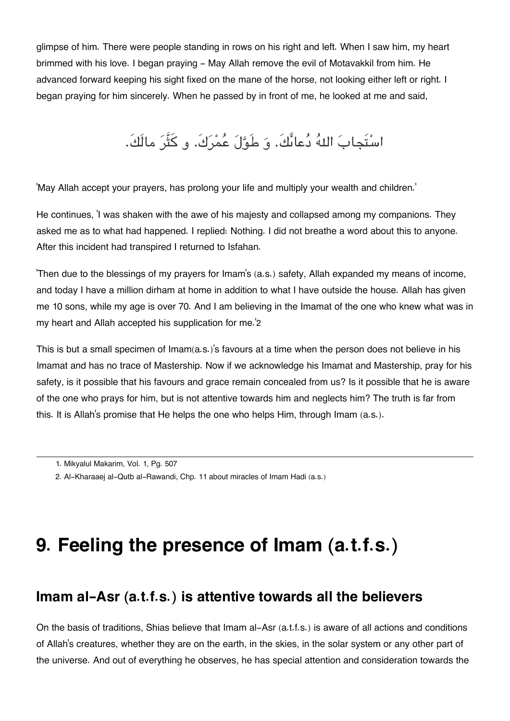glimpse of him. There were people standing in rows on his right and left. When I saw him, my heart brimmed with his love. I began praying - May Allah remove the evil of Motavakkil from him. He advanced forward keeping his sight fixed on the mane of the horse, not looking either left or right. I began praying for him sincerely. When he passed by in front of me, he looked at me and said,

### اسْتَجابَ اللهُ دُعائَكَ. وَ طَوَّلَ عُمْرَكَ. و كَثَّرَ مالَكَ.

'May Allah accept your prayers, has prolong your life and multiply your wealth and children.'

He continues, 'I was shaken with the awe of his majesty and collapsed among my companions. They asked me as to what had happened. I replied: Nothing. I did not breathe a word about this to anyone. After this incident had transpired I returned to Isfahan.

'Then due to the blessings of my prayers for Imam's (a.s.) safety, Allah expanded my means of income, and today I have a million dirham at home in addition to what I have outside the house. Allah has given me 10 sons, while my age is over 70. And I am believing in the Imamat of the one who knew what was in my heart and Allah accepted his supplication for me.'[2](#page--1-0)

This is but a small specimen of Imam(a.s.)'s favours at a time when the person does not believe in his Imamat and has no trace of Mastership. Now if we acknowledge his Imamat and Mastership, pray for his safety, is it possible that his favours and grace remain concealed from us? Is it possible that he is aware of the one who prays for him, but is not attentive towards him and neglects him? The truth is far from this. It is Allah's promise that He helps the one who helps Him, through Imam (a.s.).

# **9. Feeling the presence of Imam (a.t.f.s.)**

### **[Imam al-Asr \(a.t.f.s.\) is attentive towards all the believers](#page--1-0)**

On the basis of traditions, Shias believe that Imam al-Asr (a.t.f.s.) is aware of all actions and conditions of Allah's creatures, whether they are on the earth, in the skies, in the solar system or any other part of the universe. And out of everything he observes, he has special attention and consideration towards the

[<sup>1.</sup>](#page--1-0) Mikyalul Makarim, Vol. 1, Pg. 507

[<sup>2.</sup>](#page--1-0) Al-Kharaaej al-Qutb al-Rawandi, Chp. 11 about miracles of Imam Hadi (a.s.)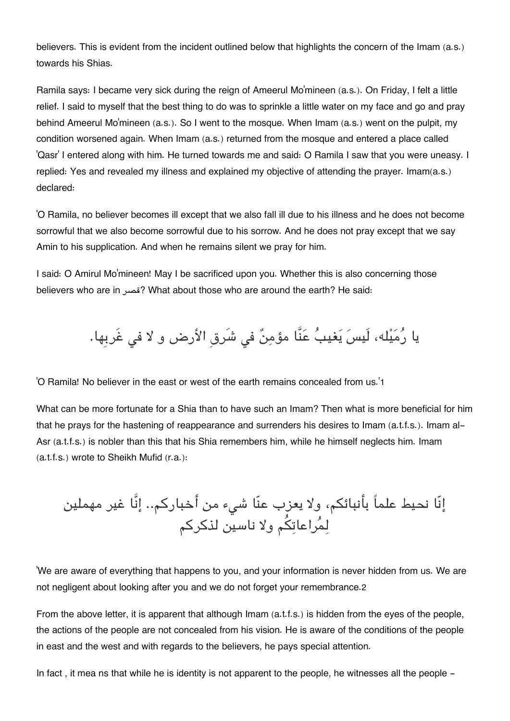believers. This is evident from the incident outlined below that highlights the concern of the Imam (a.s.) towards his Shias.

Ramila says: I became very sick during the reign of Ameerul Mo'mineen (a.s.). On Friday, I felt a little relief. I said to myself that the best thing to do was to sprinkle a little water on my face and go and pray behind Ameerul Mo'mineen (a.s.). So I went to the mosque. When Imam (a.s.) went on the pulpit, my condition worsened again. When Imam (a.s.) returned from the mosque and entered a place called 'Qasr' I entered along with him. He turned towards me and said: O Ramila I saw that you were uneasy. I replied: Yes and revealed my illness and explained my objective of attending the prayer. Imam(a.s.) declared:

'O Ramila, no believer becomes ill except that we also fall ill due to his illness and he does not become sorrowful that we also become sorrowful due to his sorrow. And he does not pray except that we say Amin to his supplication. And when he remains silent we pray for him.

I said: O Amirul Mo'mineen! May I be sacrificed upon you. Whether this is also concerning those believers who are in قصر ?What about those who are around the earth? He said:

يا رُمَيْله، لَيسَ يَغيبُ عَنَّا مؤمِنٌ فى شَرقِ الأرض و لا في غَربِها.

'O Ramila! No believer in the east or west of the earth remains concealed from us.'[1](#page--1-0)

What can be more fortunate for a Shia than to have such an Imam? Then what is more beneficial for him that he prays for the hastening of reappearance and surrenders his desires to Imam (a.t.f.s.). Imam al-Asr (a.t.f.s.) is nobler than this that his Shia remembers him, while he himself neglects him. Imam (a.t.f.s.) wrote to Sheikh Mufid (r.a.):

إنّا نحيط علماً بأنبائم، ولا يعزب عنّا شء من أخباركم.. إنَّا غير مهملين لمراعاتم ولا ناسين لذكركم

'We are aware of everything that happens to you, and your information is never hidden from us. We are not negligent about looking after you and we do not forget your remembrance.[2](#page--1-0)

From the above letter, it is apparent that although Imam (a.t.f.s.) is hidden from the eyes of the people, the actions of the people are not concealed from his vision. He is aware of the conditions of the people in east and the west and with regards to the believers, he pays special attention.

In fact, it mea ns that while he is identity is not apparent to the people, he witnesses all the people -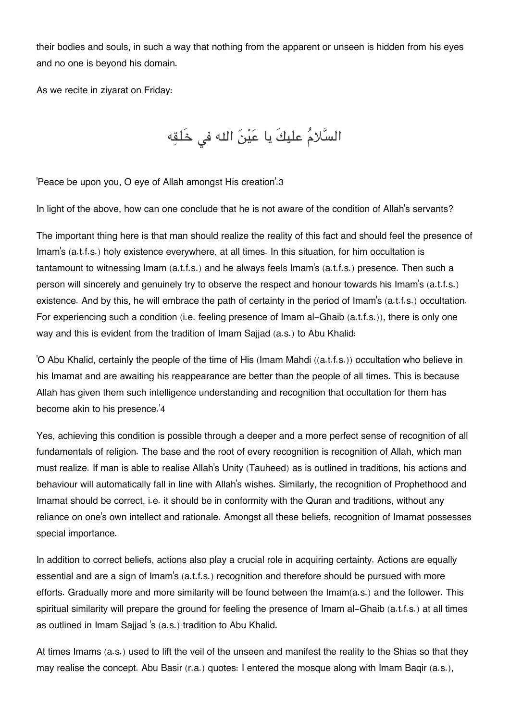their bodies and souls, in such a way that nothing from the apparent or unseen is hidden from his eyes and no one is beyond his domain.

As we recite in ziyarat on Friday:

السَّلامُ عليكَ يا عَيْنَ الله في خَلقِه

'Peace be upon you, O eye of Allah amongst His creation'.[3](#page--1-0)

In light of the above, how can one conclude that he is not aware of the condition of Allah's servants?

The important thing here is that man should realize the reality of this fact and should feel the presence of Imam's (a.t.f.s.) holy existence everywhere, at all times. In this situation, for him occultation is tantamount to witnessing Imam (a.t.f.s.) and he always feels Imam's (a.t.f.s.) presence. Then such a person will sincerely and genuinely try to observe the respect and honour towards his Imam's (a.t.f.s.) existence. And by this, he will embrace the path of certainty in the period of Imam's (a.t.f.s.) occultation. For experiencing such a condition (i.e. feeling presence of Imam al-Ghaib (a.t.f.s.)), there is only one way and this is evident from the tradition of Imam Sajjad (a.s.) to Abu Khalid:

'O Abu Khalid, certainly the people of the time of His (Imam Mahdi ((a.t.f.s.)) occultation who believe in his Imamat and are awaiting his reappearance are better than the people of all times. This is because Allah has given them such intelligence understanding and recognition that occultation for them has become akin to his presence.'[4](#page--1-0)

Yes, achieving this condition is possible through a deeper and a more perfect sense of recognition of all fundamentals of religion. The base and the root of every recognition is recognition of Allah, which man must realize. If man is able to realise Allah's Unity (Tauheed) as is outlined in traditions, his actions and behaviour will automatically fall in line with Allah's wishes. Similarly, the recognition of Prophethood and Imamat should be correct, i.e. it should be in conformity with the Quran and traditions, without any reliance on one's own intellect and rationale. Amongst all these beliefs, recognition of Imamat possesses special importance.

In addition to correct beliefs, actions also play a crucial role in acquiring certainty. Actions are equally essential and are a sign of Imam's (a.t.f.s.) recognition and therefore should be pursued with more efforts. Gradually more and more similarity will be found between the Imam(a.s.) and the follower. This spiritual similarity will prepare the ground for feeling the presence of Imam al-Ghaib (a.t.f.s.) at all times as outlined in Imam Sajjad 's (a.s.) tradition to Abu Khalid.

At times Imams (a.s.) used to lift the veil of the unseen and manifest the reality to the Shias so that they may realise the concept. Abu Basir (r.a.) quotes: I entered the mosque along with Imam Baqir (a.s.),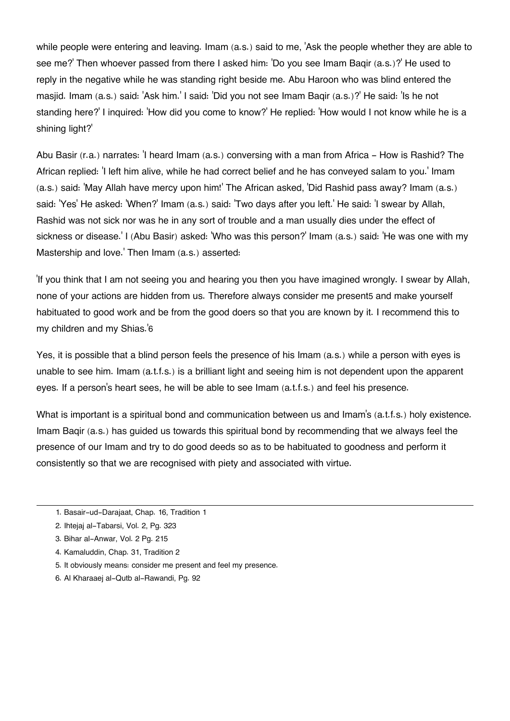while people were entering and leaving. Imam (a.s.) said to me, Ask the people whether they are able to see me?' Then whoever passed from there I asked him: 'Do you see Imam Baqir (a.s.)?' He used to reply in the negative while he was standing right beside me. Abu Haroon who was blind entered the masjid. Imam (a.s.) said: 'Ask him.' I said: 'Did you not see Imam Baqir (a.s.)?' He said: 'Is he not standing here?' I inquired: 'How did you come to know?' He replied: 'How would I not know while he is a shining light?'

Abu Basir (r.a.) narrates: 'I heard Imam (a.s.) conversing with a man from Africa - How is Rashid? The African replied: 'I left him alive, while he had correct belief and he has conveyed salam to you.' Imam (a.s.) said: 'May Allah have mercy upon him!' The African asked, 'Did Rashid pass away? Imam (a.s.) said: 'Yes' He asked: 'When?' Imam (a.s.) said: 'Two days after you left.' He said: 'I swear by Allah, Rashid was not sick nor was he in any sort of trouble and a man usually dies under the effect of sickness or disease.' I (Abu Basir) asked: 'Who was this person?' Imam (a.s.) said: 'He was one with my Mastership and love.' Then Imam (a.s.) asserted:

'If you think that I am not seeing you and hearing you then you have imagined wrongly. I swear by Allah, none of your actions are hidden from us. Therefore always consider me present[5](#page--1-0) and make yourself habituated to good work and be from the good doers so that you are known by it. I recommend this to my children and my Shias.'[6](#page--1-0)

Yes, it is possible that a blind person feels the presence of his Imam (a.s.) while a person with eyes is unable to see him. Imam (a.t.f.s.) is a brilliant light and seeing him is not dependent upon the apparent eyes. If a person's heart sees, he will be able to see Imam (a.t.f.s.) and feel his presence.

What is important is a spiritual bond and communication between us and Imam's (a.t.f.s.) holy existence. Imam Baqir (a.s.) has guided us towards this spiritual bond by recommending that we always feel the presence of our Imam and try to do good deeds so as to be habituated to goodness and perform it consistently so that we are recognised with piety and associated with virtue.

- [1.](#page--1-0) Basair-ud-Darajaat, Chap. 16, Tradition 1
- [2.](#page--1-0) Ihtejaj al-Tabarsi, Vol. 2, Pg. 323
- [3.](#page--1-0) Bihar al-Anwar, Vol. 2 Pg. 215
- [4.](#page--1-0) Kamaluddin, Chap. 31, Tradition 2
- [5.](#page--1-0) It obviously means: consider me present and feel my presence.
- [6.](#page--1-0) Al Kharaaej al-Qutb al-Rawandi, Pg. 92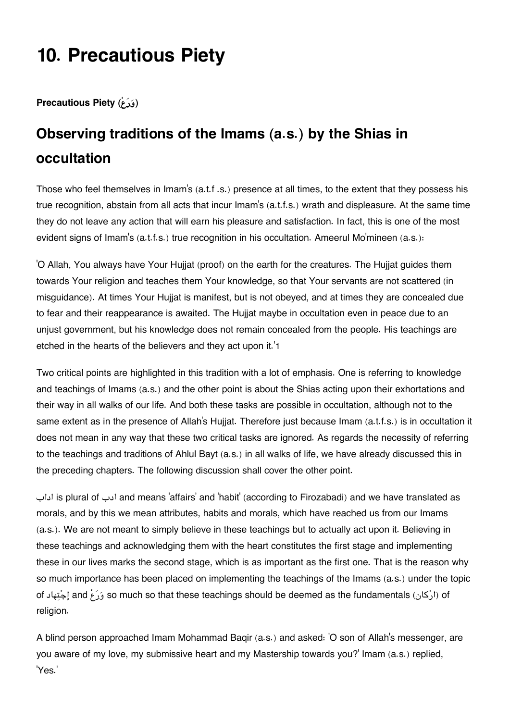# **10. Precautious Piety**

**Precautious Piety** ( $\hat{e}$ روَر

## **[Observing traditions of the Imams \(a.s.\) by the Shias in](#page--1-0) [occultation](#page--1-0)**

Those who feel themselves in Imam's (a.t.f .s.) presence at all times, to the extent that they possess his true recognition, abstain from all acts that incur Imam's (a.t.f.s.) wrath and displeasure. At the same time they do not leave any action that will earn his pleasure and satisfaction. In fact, this is one of the most evident signs of Imam's (a.t.f.s.) true recognition in his occultation. Ameerul Mo'mineen (a.s.):

'O Allah, You always have Your Hujjat (proof) on the earth for the creatures. The Hujjat guides them towards Your religion and teaches them Your knowledge, so that Your servants are not scattered (in misguidance). At times Your Hujjat is manifest, but is not obeyed, and at times they are concealed due to fear and their reappearance is awaited. The Hujjat maybe in occultation even in peace due to an unjust government, but his knowledge does not remain concealed from the people. His teachings are etched in the hearts of the believers and they act upon it.'[1](#page--1-0)

Two critical points are highlighted in this tradition with a lot of emphasis. One is referring to knowledge and teachings of Imams (a.s.) and the other point is about the Shias acting upon their exhortations and their way in all walks of our life. And both these tasks are possible in occultation, although not to the same extent as in the presence of Allah's Hujjat. Therefore just because Imam (a.t.f.s.) is in occultation it does not mean in any way that these two critical tasks are ignored. As regards the necessity of referring to the teachings and traditions of Ahlul Bayt (a.s.) in all walks of life, we have already discussed this in the preceding chapters. The following discussion shall cover the other point.

اداب is plural of ادب and means 'affairs' and 'habit' (according to Firozabadi) and we have translated as morals, and by this we mean attributes, habits and morals, which have reached us from our Imams (a.s.). We are not meant to simply believe in these teachings but to actually act upon it. Believing in these teachings and acknowledging them with the heart constitutes the first stage and implementing these in our lives marks the second stage, which is as important as the first one. That is the reason why so much importance has been placed on implementing the teachings of the Imams (a.s.) under the topic of ارْكان) of ابْكان) so much so that these teachings should be deemed as the fundamentals (ارْكان) of religion.

A blind person approached Imam Mohammad Baqir (a.s.) and asked: 'O son of Allah's messenger, are you aware of my love, my submissive heart and my Mastership towards you?' Imam (a.s.) replied, 'Yes.'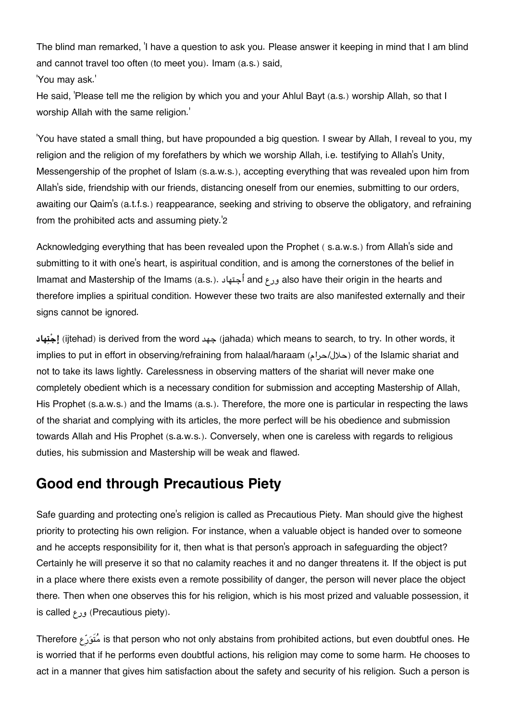The blind man remarked, 'I have a question to ask you. Please answer it keeping in mind that I am blind and cannot travel too often (to meet you). Imam (a.s.) said,

'You may ask.'

He said, 'Please tell me the religion by which you and your Ahlul Bayt (a.s.) worship Allah, so that I worship Allah with the same religion.'

'You have stated a small thing, but have propounded a big question. I swear by Allah, I reveal to you, my religion and the religion of my forefathers by which we worship Allah, i.e. testifying to Allah's Unity, Messengership of the prophet of Islam (s.a.w.s.), accepting everything that was revealed upon him from Allah's side, friendship with our friends, distancing oneself from our enemies, submitting to our orders, awaiting our Qaim's (a.t.f.s.) reappearance, seeking and striving to observe the obligatory, and refraining from the prohibited acts and assuming piety.'[2](#page--1-0)

Acknowledging everything that has been revealed upon the Prophet ( s.a.w.s.) from Allah's side and submitting to it with one's heart, is aspiritual condition, and is among the cornerstones of the belief in Imamat and Mastership of the Imams (a.s.). أجتهاد and ورع also have their origin in the hearts and therefore implies a spiritual condition. However these two traits are also manifested externally and their signs cannot be ignored.

**هادتإج**) ijtehad) is derived from the word جهد) jahada) which means to search, to try. In other words, it implies to put in effort in observing/refraining from halaal/haraam (حلال/حرام) of the Islamic shariat and not to take its laws lightly. Carelessness in observing matters of the shariat will never make one completely obedient which is a necessary condition for submission and accepting Mastership of Allah, His Prophet (s.a.w.s.) and the Imams (a.s.). Therefore, the more one is particular in respecting the laws of the shariat and complying with its articles, the more perfect will be his obedience and submission towards Allah and His Prophet (s.a.w.s.). Conversely, when one is careless with regards to religious duties, his submission and Mastership will be weak and flawed.

### **[Good end through Precautious Piety](#page--1-0)**

Safe guarding and protecting one's religion is called as Precautious Piety. Man should give the highest priority to protecting his own religion. For instance, when a valuable object is handed over to someone and he accepts responsibility for it, then what is that person's approach in safeguarding the object? Certainly he will preserve it so that no calamity reaches it and no danger threatens it. If the object is put in a place where there exists even a remote possibility of danger, the person will never place the object there. Then when one observes this for his religion, which is his most prized and valuable possession, it is called ورع) Precautious piety).

Therefore عِروَتم is that person who not only abstains from prohibited actions, but even doubtful ones. He is worried that if he performs even doubtful actions, his religion may come to some harm. He chooses to act in a manner that gives him satisfaction about the safety and security of his religion. Such a person is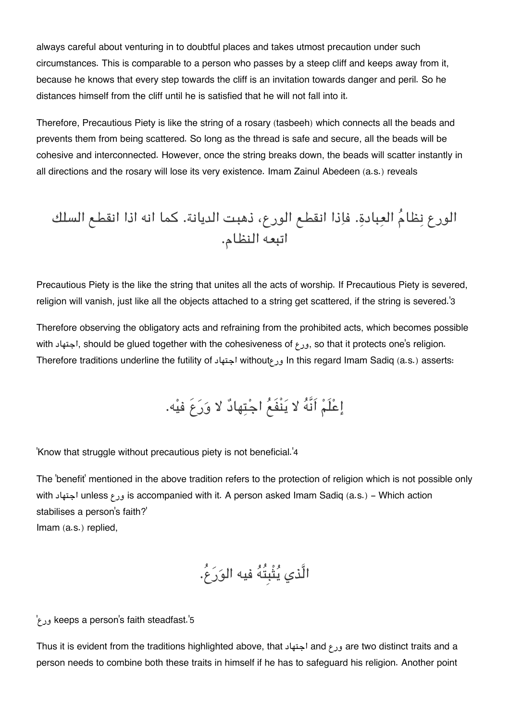always careful about venturing in to doubtful places and takes utmost precaution under such circumstances. This is comparable to a person who passes by a steep cliff and keeps away from it, because he knows that every step towards the cliff is an invitation towards danger and peril. So he distances himself from the cliff until he is satisfied that he will not fall into it.

Therefore, Precautious Piety is like the string of a rosary (tasbeeh) which connects all the beads and prevents them from being scattered. So long as the thread is safe and secure, all the beads will be cohesive and interconnected. However, once the string breaks down, the beads will scatter instantly in all directions and the rosary will lose its very existence. Imam Zainul Abedeen (a.s.) reveals

الورع نظام العبادة. فاذا انقطع الورع، ذهبت الديانة. كما انه اذا انقطع السلك اتبعه النظام.

Precautious Piety is the like the string that unites all the acts of worship. If Precautious Piety is severed, religion will vanish, just like all the objects attached to a string get scattered, if the string is severed.'[3](#page--1-0)

Therefore observing the obligatory acts and refraining from the prohibited acts, which becomes possible with اجتهاد, should be glued together with the cohesiveness of ورع, so that it protects one's religion. Therefore traditions underline the futility of اجتهاد withoutورع In this regard Imam Sadiq (a.s.) asserts:

# إعْلَمْ اَنَّهُ لا يَنْفَعُ اجْتِهادٌ لا وَرَعَ فيْه.

'Know that struggle without precautious piety is not beneficial.'[4](#page--1-0)

The 'benefit' mentioned in the above tradition refers to the protection of religion which is not possible only with اجتهاد unless ورع is accompanied with it. A person asked Imam Sadiq (a.s.) - Which action stabilises a person's faith?' Imam (a.s.) replied,

الَّذي يثْبِتُه فيه الورع.ُ

'ورع keeps a person's faith steadfast.'[5](#page--1-0)

Thus it is evident from the traditions highlighted above, that اجتهاد and ورع are two distinct traits and a person needs to combine both these traits in himself if he has to safeguard his religion. Another point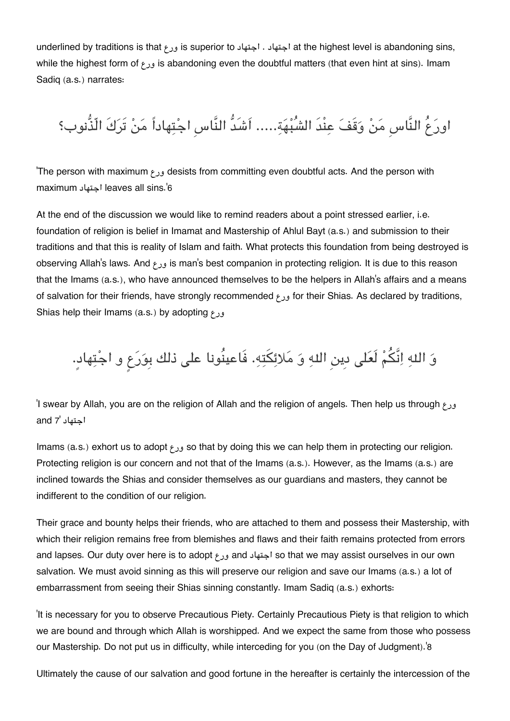underlined by traditions is that ورع is superior to اجتهاد . اجتهاد at the highest level is abandoning sins, while the highest form of ورع is abandoning even the doubtful matters (that even hint at sins). Imam Sadiq (a.s.) narrates:

اورعُ النَّاسِ من وقَف عنْدَ الشُبهة..... اَشَدُّ النَّاسِ اجتهاداً من تَركَ الّذُّنوب؟

'The person with maximum ورع desists from committing even doubtful acts. And the person with maximum اجتهاد leaves all sins.'[6](#page--1-0)

At the end of the discussion we would like to remind readers about a point stressed earlier, i.e. foundation of religion is belief in Imamat and Mastership of Ahlul Bayt (a.s.) and submission to their traditions and that this is reality of Islam and faith. What protects this foundation from being destroyed is observing Allah's laws. And ورع is man's best companion in protecting religion. It is due to this reason that the Imams (a.s.), who have announced themselves to be the helpers in Allah's affairs and a means of salvation for their friends, have strongly recommended ورع for their Shias. As declared by traditions, Shias help their Imams (a.s.) by adopting ورع

وَ اللهِ اِنَّكُمْ لَعَلى دِين اللهِ وَ مَلائِكَتِهِ. فَاعينُونا على ذلك بِوَرَعٍ و اجْتِهادٍ.

'I swear by Allah, you are on the religion of Allah and the religion of angels. Then help us through ورع اجتهاد '[7](#page--1-0) and

Imams (a.s.) exhort us to adopt ورع so that by doing this we can help them in protecting our religion. Protecting religion is our concern and not that of the Imams (a.s.). However, as the Imams (a.s.) are inclined towards the Shias and consider themselves as our guardians and masters, they cannot be indifferent to the condition of our religion.

Their grace and bounty helps their friends, who are attached to them and possess their Mastership, with which their religion remains free from blemishes and flaws and their faith remains protected from errors and lapses. Our duty over here is to adopt ورع and اجتهاد so that we may assist ourselves in our own salvation. We must avoid sinning as this will preserve our religion and save our Imams (a.s.) a lot of embarrassment from seeing their Shias sinning constantly. Imam Sadiq (a.s.) exhorts:

'It is necessary for you to observe Precautious Piety. Certainly Precautious Piety is that religion to which we are bound and through which Allah is worshipped. And we expect the same from those who possess our Mastership. Do not put us in difficulty, while interceding for you (on the Day of Judgment).'[8](#page--1-0)

Ultimately the cause of our salvation and good fortune in the hereafter is certainly the intercession of the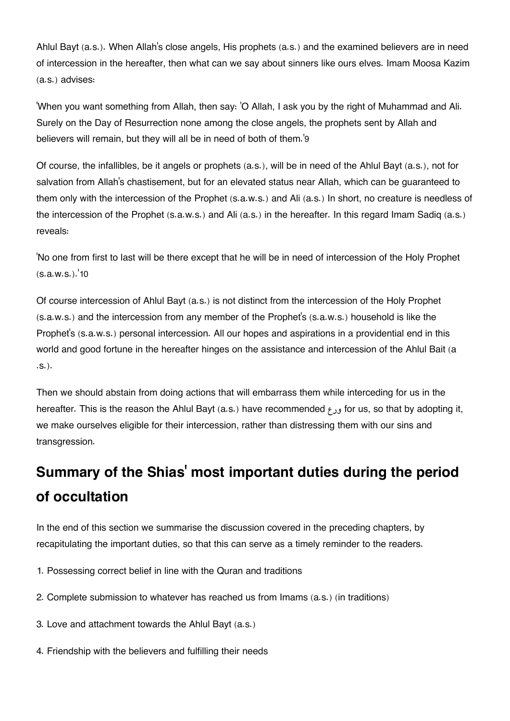Ahlul Bayt (a.s.). When Allah's close angels, His prophets (a.s.) and the examined believers are in need of intercession in the hereafter, then what can we say about sinners like ours elves. Imam Moosa Kazim (a.s.) advises:

'When you want something from Allah, then say: 'O Allah, I ask you by the right of Muhammad and Ali. Surely on the Day of Resurrection none among the close angels, the prophets sent by Allah and believers will remain, but they will all be in need of both of them.'[9](#page--1-0)

Of course, the infallibles, be it angels or prophets (a.s.), will be in need of the Ahlul Bayt (a.s.), not for salvation from Allah's chastisement, but for an elevated status near Allah, which can be guaranteed to them only with the intercession of the Prophet (s.a.w.s.) and Ali (a.s.) In short, no creature is needless of the intercession of the Prophet (s.a.w.s.) and Ali (a.s.) in the hereafter. In this regard Imam Sadiq (a.s.) reveals:

'No one from first to last will be there except that he will be in need of intercession of the Holy Prophet  $(s.a.w.s.)$ . [10](#page--1-0)

Of course intercession of Ahlul Bayt (a.s.) is not distinct from the intercession of the Holy Prophet (s.a.w.s.) and the intercession from any member of the Prophet's (s.a.w.s.) household is like the Prophet's (s.a.w.s.) personal intercession. All our hopes and aspirations in a providential end in this world and good fortune in the hereafter hinges on the assistance and intercession of the Ahlul Bait (a .s.).

Then we should abstain from doing actions that will embarrass them while interceding for us in the hereafter. This is the reason the Ahlul Bayt (a.s.) have recommended ورع for us, so that by adopting it, we make ourselves eligible for their intercession, rather than distressing them with our sins and transgression.

## **Summary of the Shias[' most important duties during the period](#page--1-0) [of occultation](#page--1-0)**

In the end of this section we summarise the discussion covered in the preceding chapters, by recapitulating the important duties, so that this can serve as a timely reminder to the readers.

- 1. Possessing correct belief in line with the Quran and traditions
- 2. Complete submission to whatever has reached us from Imams (a.s.) (in traditions)
- 3. Love and attachment towards the Ahlul Bayt (a.s.)
- 4. Friendship with the believers and fulfilling their needs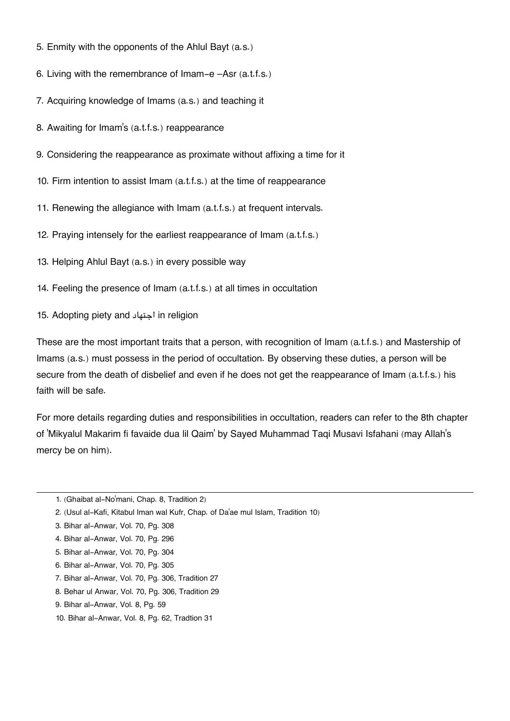- 5. Enmity with the opponents of the Ahlul Bayt (a.s.)
- 6. Living with the remembrance of Imam-e –Asr (a.t.f.s.)
- 7. Acquiring knowledge of Imams (a.s.) and teaching it
- 8. Awaiting for Imam's (a.t.f.s.) reappearance
- 9. Considering the reappearance as proximate without affixing a time for it
- 10. Firm intention to assist Imam (a.t.f.s.) at the time of reappearance
- 11. Renewing the allegiance with Imam (a.t.f.s.) at frequent intervals.
- 12. Praying intensely for the earliest reappearance of Imam (a.t.f.s.)
- 13. Helping Ahlul Bayt (a.s.) in every possible way
- 14. Feeling the presence of Imam (a.t.f.s.) at all times in occultation
- 15. Adopting piety and اجتهاد in religion

These are the most important traits that a person, with recognition of Imam (a.t.f.s.) and Mastership of Imams (a.s.) must possess in the period of occultation. By observing these duties, a person will be secure from the death of disbelief and even if he does not get the reappearance of Imam (a.t.f.s.) his faith will be safe.

For more details regarding duties and responsibilities in occultation, readers can refer to the 8th chapter of 'Mikyalul Makarim fi favaide dua lil Qaim' by Sayed Muhammad Taqi Musavi Isfahani (may Allah's mercy be on him).

- [7.](#page--1-0) Bihar al-Anwar, Vol. 70, Pg. 306, Tradition 27
- [8.](#page--1-0) Behar ul Anwar, Vol. 70, Pg. 306, Tradition 29
- [9.](#page--1-0) Bihar al-Anwar, Vol. 8, Pg. 59
- [10.](#page--1-0) Bihar al-Anwar, Vol. 8, Pg. 62, Tradtion 31

[<sup>1.</sup>](#page--1-0) (Ghaibat al-No'mani, Chap. 8, Tradition 2)

[<sup>2.</sup>](#page--1-0) (Usul al-Kafi, Kitabul Iman wal Kufr, Chap. of Da'ae mul Islam, Tradition 10)

[<sup>3.</sup>](#page--1-0) Bihar al-Anwar, Vol. 70, Pg. 308

[<sup>4.</sup>](#page--1-0) Bihar al-Anwar, Vol. 70, Pg. 296

[<sup>5.</sup>](#page--1-0) Bihar al-Anwar, Vol. 70, Pg. 304

[<sup>6.</sup>](#page--1-0) Bihar al-Anwar, Vol. 70, Pg. 305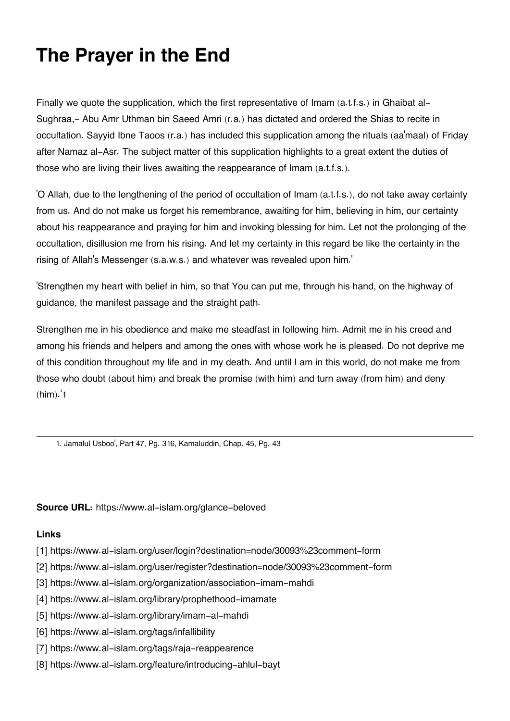# **The Prayer in the End**

Finally we quote the supplication, which the first representative of Imam (a.t.f.s.) in Ghaibat al-Sughraa,- Abu Amr Uthman bin Saeed Amri (r.a.) has dictated and ordered the Shias to recite in occultation. Sayyid Ibne Taoos (r.a.) has included this supplication among the rituals (aa'maal) of Friday after Namaz al-Asr. The subject matter of this supplication highlights to a great extent the duties of those who are living their lives awaiting the reappearance of Imam (a.t.f.s.).

'O Allah, due to the lengthening of the period of occultation of Imam (a.t.f.s.), do not take away certainty from us. And do not make us forget his remembrance, awaiting for him, believing in him, our certainty about his reappearance and praying for him and invoking blessing for him. Let not the prolonging of the occultation, disillusion me from his rising. And let my certainty in this regard be like the certainty in the rising of Allah's Messenger (s.a.w.s.) and whatever was revealed upon him.'

'Strengthen my heart with belief in him, so that You can put me, through his hand, on the highway of guidance, the manifest passage and the straight path.

Strengthen me in his obedience and make me steadfast in following him. Admit me in his creed and among his friends and helpers and among the ones with whose work he is pleased. Do not deprive me of this condition throughout my life and in my death. And until I am in this world, do not make me from those who doubt (about him) and break the promise (with him) and turn away (from him) and deny  $(him)$ .'[1](#page--1-0)

[1.](#page--1-0) Jamalul Usboo', Part 47, Pg. 316, Kamaluddin, Chap. 45, Pg. 43

#### **Source URL:** https://www.al-islam.org/glance-beloved

#### **Links**

- [1] https://www.al-islam.org/user/login?destination=node/30093%23comment-form
- [2] https://www.al-islam.org/user/register?destination=node/30093%23comment-form
- [3] https://www.al-islam.org/organization/association-imam-mahdi
- [4] https://www.al-islam.org/library/prophethood-imamate
- [5] https://www.al-islam.org/library/imam-al-mahdi
- [6] https://www.al-islam.org/tags/infallibility
- [7] https://www.al-islam.org/tags/raja-reappearence
- [8] https://www.al-islam.org/feature/introducing-ahlul-bayt